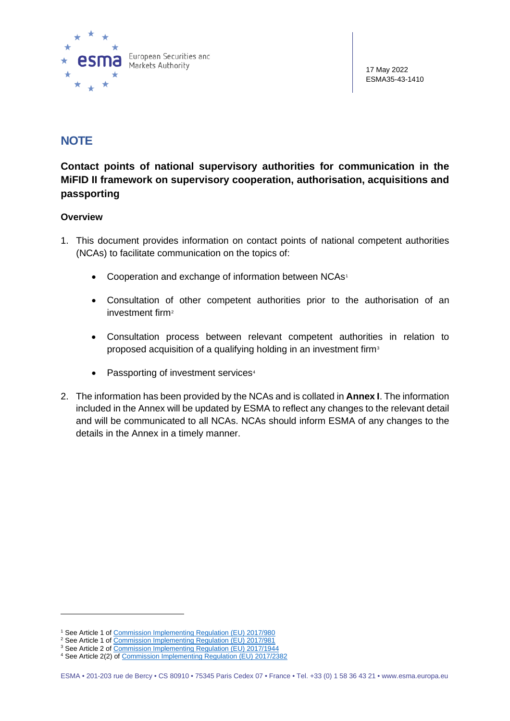

# **NOTE**

**Contact points of national supervisory authorities for communication in the MiFID II framework on supervisory cooperation, authorisation, acquisitions and passporting**

#### **Overview**

- 1. This document provides information on contact points of national competent authorities (NCAs) to facilitate communication on the topics of:
	- Cooperation and exchange of information between NCAs<sup>[1](#page-0-0)</sup>
	- Consultation of other competent authorities prior to the authorisation of an investment firm<sup>[2](#page-0-1)</sup>
	- Consultation process between relevant competent authorities in relation to proposed acquisition of a qualifying holding in an investment firm<sup>[3](#page-0-2)</sup>
	- Passporting of investment services<sup>[4](#page-0-3)</sup>
- 2. The information has been provided by the NCAs and is collated in **Annex I**. The information included in the Annex will be updated by ESMA to reflect any changes to the relevant detail and will be communicated to all NCAs. NCAs should inform ESMA of any changes to the details in the Annex in a timely manner.

<sup>1</sup> See Article 1 o[f Commission Implementing Regulation \(EU\) 2017/980](https://eur-lex.europa.eu/legal-content/EN/TXT/?uri=uriserv:OJ.L_.2017.148.01.0003.01.ENG&toc=OJ:L:2017:148:TOC)

<span id="page-0-0"></span><sup>&</sup>lt;sup>2</sup> See Article 1 o[f Commission Implementing Regulation \(EU\) 2017/981](https://eur-lex.europa.eu/legal-content/EN/TXT/?uri=uriserv:OJ.L_.2017.148.01.0016.01.ENG)

<span id="page-0-3"></span><span id="page-0-2"></span><span id="page-0-1"></span><sup>&</sup>lt;sup>3</sup> See Article 2 o[f Commission Implementing Regulation \(EU\) 2017/1944](https://eur-lex.europa.eu/eli/reg_impl/2017/1944/oj) <sup>4</sup> See Article 2(2) of [Commission Implementing Regulation \(EU\) 2017/2382](https://eur-lex.europa.eu/legal-content/EN/TXT/?uri=CELEX%3A32017R2382)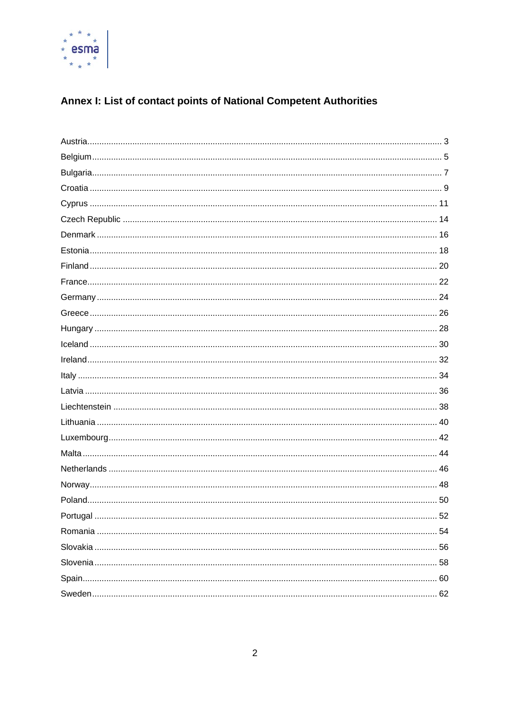

# Annex I: List of contact points of National Competent Authorities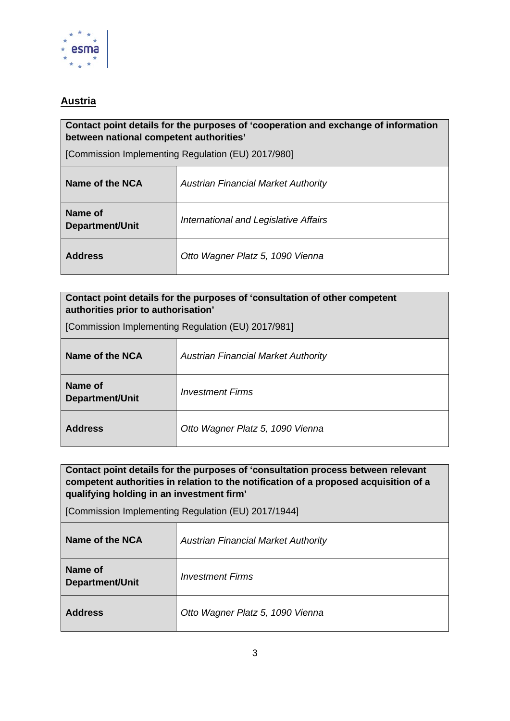

# <span id="page-2-0"></span>**Austria**

#### **Contact point details for the purposes of 'cooperation and exchange of information between national competent authorities'**

[Commission Implementing Regulation (EU) 2017/980]

| Name of the NCA                   | <b>Austrian Financial Market Authority</b> |
|-----------------------------------|--------------------------------------------|
| Name of<br><b>Department/Unit</b> | International and Legislative Affairs      |
| <b>Address</b>                    | Otto Wagner Platz 5, 1090 Vienna           |

# **Contact point details for the purposes of 'consultation of other competent authorities prior to authorisation'**

[Commission Implementing Regulation (EU) 2017/981]

| Name of the NCA            | <b>Austrian Financial Market Authority</b> |
|----------------------------|--------------------------------------------|
| Name of<br>Department/Unit | <i>Investment Firms</i>                    |
| <b>Address</b>             | Otto Wagner Platz 5, 1090 Vienna           |

**Contact point details for the purposes of 'consultation process between relevant competent authorities in relation to the notification of a proposed acquisition of a qualifying holding in an investment firm'** 

| Name of the NCA            | <b>Austrian Financial Market Authority</b> |
|----------------------------|--------------------------------------------|
| Name of<br>Department/Unit | <i>Investment Firms</i>                    |
| <b>Address</b>             | Otto Wagner Platz 5, 1090 Vienna           |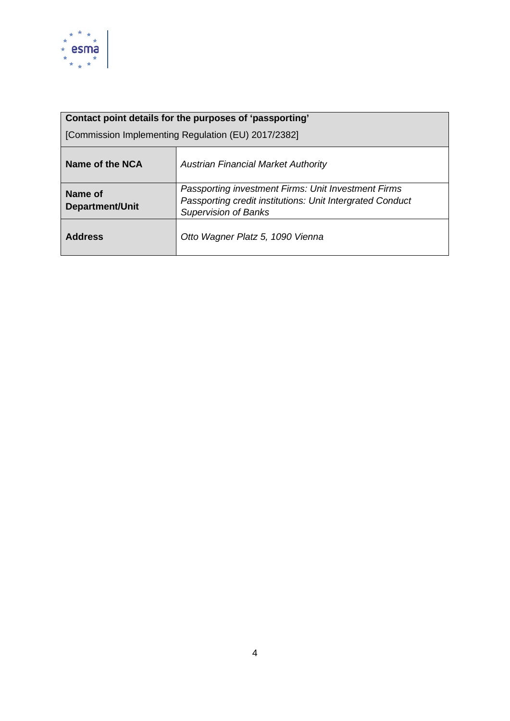

| Contact point details for the purposes of 'passporting' |                                                                                                                                                 |
|---------------------------------------------------------|-------------------------------------------------------------------------------------------------------------------------------------------------|
| [Commission Implementing Regulation (EU) 2017/2382]     |                                                                                                                                                 |
| Name of the NCA                                         | <b>Austrian Financial Market Authority</b>                                                                                                      |
| Name of<br><b>Department/Unit</b>                       | Passporting investment Firms: Unit Investment Firms<br>Passporting credit institutions: Unit Intergrated Conduct<br><b>Supervision of Banks</b> |
| <b>Address</b>                                          | Otto Wagner Platz 5, 1090 Vienna                                                                                                                |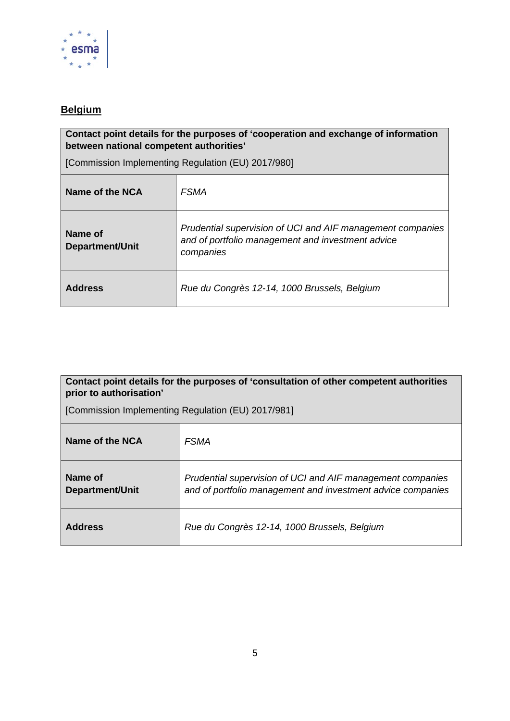

# <span id="page-4-0"></span>**Belgium**

#### **Contact point details for the purposes of 'cooperation and exchange of information between national competent authorities'**

[Commission Implementing Regulation (EU) 2017/980]

| Name of the NCA                   | <i><b>FSMA</b></i>                                                                                                           |
|-----------------------------------|------------------------------------------------------------------------------------------------------------------------------|
| Name of<br><b>Department/Unit</b> | Prudential supervision of UCI and AIF management companies<br>and of portfolio management and investment advice<br>companies |
| <b>Address</b>                    | Rue du Congrès 12-14, 1000 Brussels, Belgium                                                                                 |

### **Contact point details for the purposes of 'consultation of other competent authorities prior to authorisation'**

| Name of the NCA            | <i><b>FSMA</b></i>                                                                                                        |
|----------------------------|---------------------------------------------------------------------------------------------------------------------------|
| Name of<br>Department/Unit | Prudential supervision of UCI and AIF management companies<br>and of portfolio management and investment advice companies |
| <b>Address</b>             | Rue du Congrès 12-14, 1000 Brussels, Belgium                                                                              |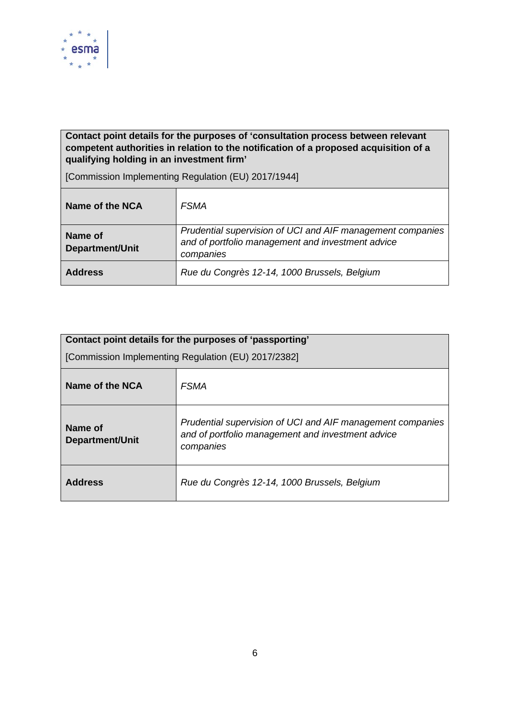

### **Contact point details for the purposes of 'consultation process between relevant competent authorities in relation to the notification of a proposed acquisition of a qualifying holding in an investment firm'**

| Name of the NCA            | <i><b>FSMA</b></i>                                                                                                           |
|----------------------------|------------------------------------------------------------------------------------------------------------------------------|
| Name of<br>Department/Unit | Prudential supervision of UCI and AIF management companies<br>and of portfolio management and investment advice<br>companies |
| <b>Address</b>             | Rue du Congrès 12-14, 1000 Brussels, Belgium                                                                                 |

<span id="page-5-0"></span>

| Contact point details for the purposes of 'passporting' |                                                                                                                              |
|---------------------------------------------------------|------------------------------------------------------------------------------------------------------------------------------|
| [Commission Implementing Regulation (EU) 2017/2382]     |                                                                                                                              |
| Name of the NCA                                         | <i><b>FSMA</b></i>                                                                                                           |
| Name of<br><b>Department/Unit</b>                       | Prudential supervision of UCI and AIF management companies<br>and of portfolio management and investment advice<br>companies |
| <b>Address</b>                                          | Rue du Congrès 12-14, 1000 Brussels, Belgium                                                                                 |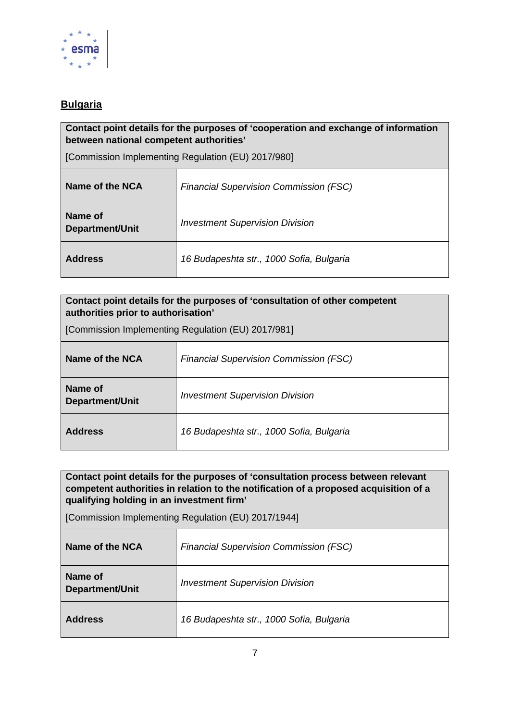

# **Bulgaria**

**Contact point details for the purposes of 'cooperation and exchange of information between national competent authorities'** 

[Commission Implementing Regulation (EU) 2017/980]

| Name of the NCA                   | <b>Financial Supervision Commission (FSC)</b> |
|-----------------------------------|-----------------------------------------------|
| Name of<br><b>Department/Unit</b> | <b>Investment Supervision Division</b>        |
| <b>Address</b>                    | 16 Budapeshta str., 1000 Sofia, Bulgaria      |

#### **Contact point details for the purposes of 'consultation of other competent authorities prior to authorisation'**

[Commission Implementing Regulation (EU) 2017/981]

| Name of the NCA            | <b>Financial Supervision Commission (FSC)</b> |
|----------------------------|-----------------------------------------------|
| Name of<br>Department/Unit | <b>Investment Supervision Division</b>        |
| <b>Address</b>             | 16 Budapeshta str., 1000 Sofia, Bulgaria      |

**Contact point details for the purposes of 'consultation process between relevant competent authorities in relation to the notification of a proposed acquisition of a qualifying holding in an investment firm'** 

| Name of the NCA                   | <b>Financial Supervision Commission (FSC)</b> |
|-----------------------------------|-----------------------------------------------|
| Name of<br><b>Department/Unit</b> | <b>Investment Supervision Division</b>        |
| <b>Address</b>                    | 16 Budapeshta str., 1000 Sofia, Bulgaria      |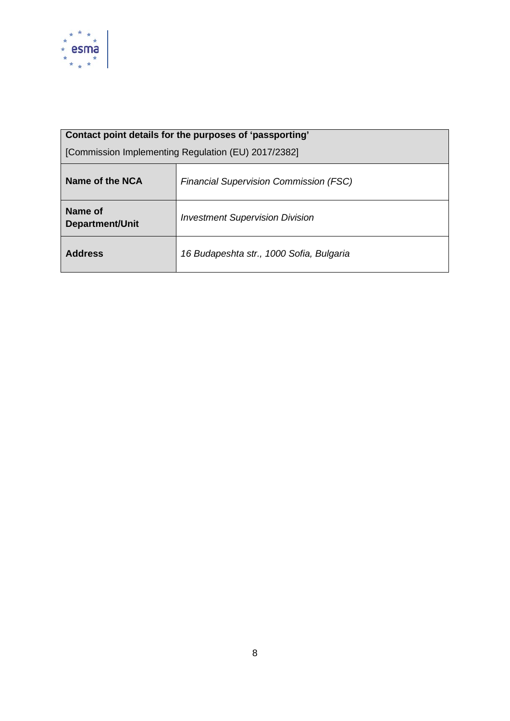

| Contact point details for the purposes of 'passporting' |                                               |
|---------------------------------------------------------|-----------------------------------------------|
| [Commission Implementing Regulation (EU) 2017/2382]     |                                               |
| Name of the NCA                                         | <b>Financial Supervision Commission (FSC)</b> |
| Name of<br><b>Department/Unit</b>                       | <b>Investment Supervision Division</b>        |
| <b>Address</b>                                          | 16 Budapeshta str., 1000 Sofia, Bulgaria      |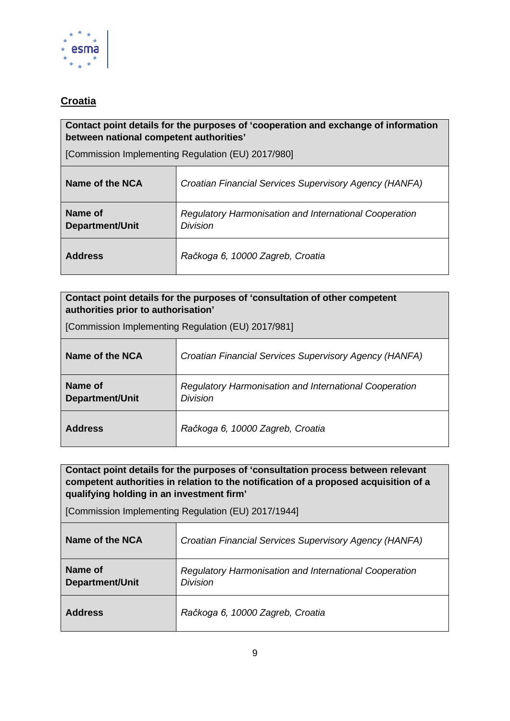

# <span id="page-8-0"></span>**Croatia**

#### **Contact point details for the purposes of 'cooperation and exchange of information between national competent authorities'**

[Commission Implementing Regulation (EU) 2017/980]

| Name of the NCA                   | Croatian Financial Services Supervisory Agency (HANFA)                           |
|-----------------------------------|----------------------------------------------------------------------------------|
| Name of<br><b>Department/Unit</b> | <b>Regulatory Harmonisation and International Cooperation</b><br><b>Division</b> |
| <b>Address</b>                    | Račkoga 6, 10000 Zagreb, Croatia                                                 |

| Contact point details for the purposes of 'consultation of other competent<br>authorities prior to authorisation' |                                                                           |
|-------------------------------------------------------------------------------------------------------------------|---------------------------------------------------------------------------|
| [Commission Implementing Regulation (EU) 2017/981]                                                                |                                                                           |
| Name of the NCA                                                                                                   | Croatian Financial Services Supervisory Agency (HANFA)                    |
| Name of<br><b>Department/Unit</b>                                                                                 | <b>Regulatory Harmonisation and International Cooperation</b><br>Division |
| <b>Address</b>                                                                                                    | Račkoga 6, 10000 Zagreb, Croatia                                          |

**Contact point details for the purposes of 'consultation process between relevant competent authorities in relation to the notification of a proposed acquisition of a qualifying holding in an investment firm'** 

| Name of the NCA                   | Croatian Financial Services Supervisory Agency (HANFA)                           |
|-----------------------------------|----------------------------------------------------------------------------------|
| Name of<br><b>Department/Unit</b> | <b>Regulatory Harmonisation and International Cooperation</b><br><b>Division</b> |
| <b>Address</b>                    | Račkoga 6, 10000 Zagreb, Croatia                                                 |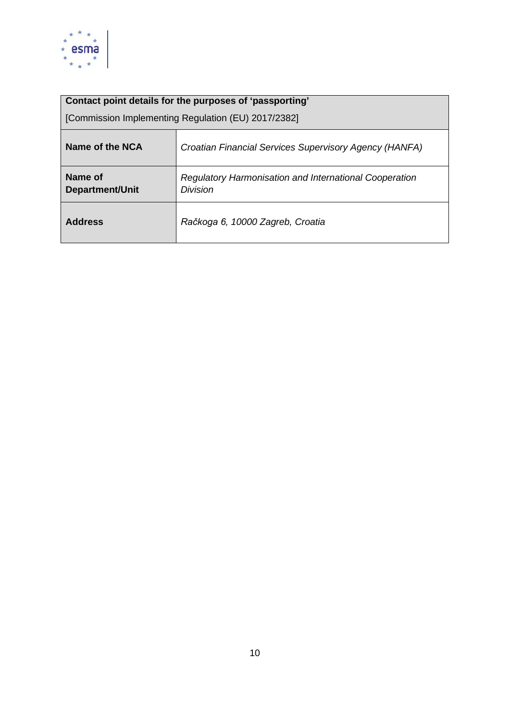

| Contact point details for the purposes of 'passporting' |                                                                                  |
|---------------------------------------------------------|----------------------------------------------------------------------------------|
| [Commission Implementing Regulation (EU) 2017/2382]     |                                                                                  |
| Name of the NCA                                         | Croatian Financial Services Supervisory Agency (HANFA)                           |
| Name of<br><b>Department/Unit</b>                       | <b>Regulatory Harmonisation and International Cooperation</b><br><b>Division</b> |
| <b>Address</b>                                          | Račkoga 6, 10000 Zagreb, Croatia                                                 |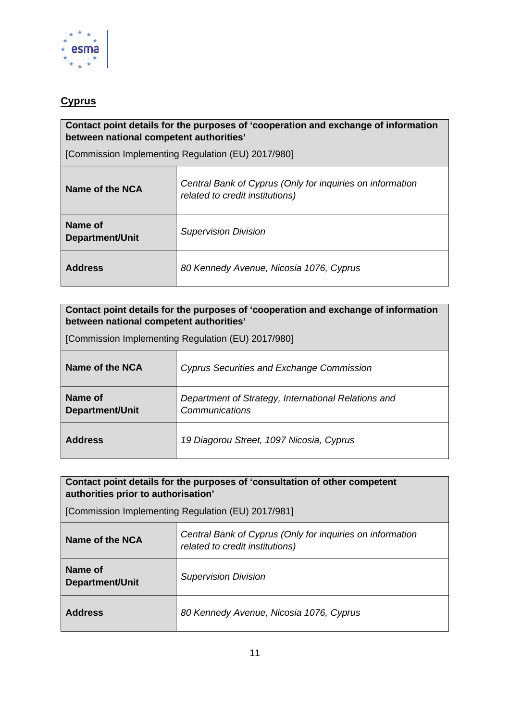

# <span id="page-10-0"></span>**Cyprus**

#### **Contact point details for the purposes of 'cooperation and exchange of information between national competent authorities'**

[Commission Implementing Regulation (EU) 2017/980]

| Name of the NCA                   | Central Bank of Cyprus (Only for inquiries on information<br>related to credit institutions) |
|-----------------------------------|----------------------------------------------------------------------------------------------|
| Name of<br><b>Department/Unit</b> | <b>Supervision Division</b>                                                                  |
| <b>Address</b>                    | 80 Kennedy Avenue, Nicosia 1076, Cyprus                                                      |

#### **Contact point details for the purposes of 'cooperation and exchange of information between national competent authorities'**

[Commission Implementing Regulation (EU) 2017/980]

| Name of the NCA            | <b>Cyprus Securities and Exchange Commission</b>                      |
|----------------------------|-----------------------------------------------------------------------|
| Name of<br>Department/Unit | Department of Strategy, International Relations and<br>Communications |
| <b>Address</b>             | 19 Diagorou Street, 1097 Nicosia, Cyprus                              |

### **Contact point details for the purposes of 'consultation of other competent authorities prior to authorisation'**

| Name of the NCA                   | Central Bank of Cyprus (Only for inquiries on information<br>related to credit institutions) |
|-----------------------------------|----------------------------------------------------------------------------------------------|
| Name of<br><b>Department/Unit</b> | <b>Supervision Division</b>                                                                  |
| <b>Address</b>                    | 80 Kennedy Avenue, Nicosia 1076, Cyprus                                                      |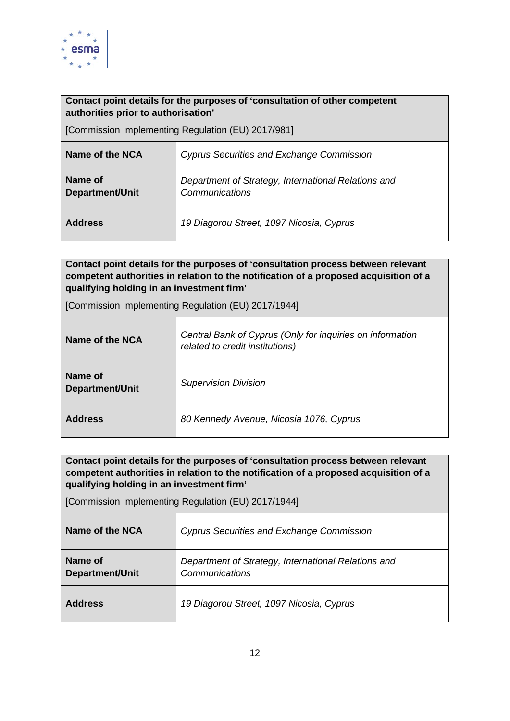

| Contact point details for the purposes of 'consultation of other competent<br>authorities prior to authorisation' |                                                                       |
|-------------------------------------------------------------------------------------------------------------------|-----------------------------------------------------------------------|
| [Commission Implementing Regulation (EU) 2017/981]                                                                |                                                                       |
| Name of the NCA                                                                                                   | Cyprus Securities and Exchange Commission                             |
| Name of<br><b>Department/Unit</b>                                                                                 | Department of Strategy, International Relations and<br>Communications |
| <b>Address</b>                                                                                                    | 19 Diagorou Street, 1097 Nicosia, Cyprus                              |

**Contact point details for the purposes of 'consultation process between relevant competent authorities in relation to the notification of a proposed acquisition of a qualifying holding in an investment firm'** 

[Commission Implementing Regulation (EU) 2017/1944]

| Name of the NCA                   | Central Bank of Cyprus (Only for inquiries on information<br>related to credit institutions) |
|-----------------------------------|----------------------------------------------------------------------------------------------|
| Name of<br><b>Department/Unit</b> | <b>Supervision Division</b>                                                                  |
| <b>Address</b>                    | 80 Kennedy Avenue, Nicosia 1076, Cyprus                                                      |

**Contact point details for the purposes of 'consultation process between relevant competent authorities in relation to the notification of a proposed acquisition of a qualifying holding in an investment firm'** 

| Name of the NCA                   | <b>Cyprus Securities and Exchange Commission</b>                      |
|-----------------------------------|-----------------------------------------------------------------------|
| Name of<br><b>Department/Unit</b> | Department of Strategy, International Relations and<br>Communications |
| <b>Address</b>                    | 19 Diagorou Street, 1097 Nicosia, Cyprus                              |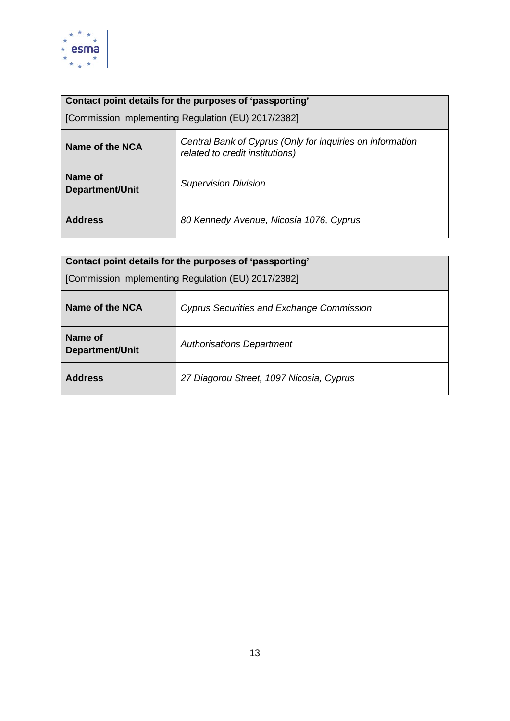

| Name of the NCA            | Central Bank of Cyprus (Only for inquiries on information<br>related to credit institutions) |
|----------------------------|----------------------------------------------------------------------------------------------|
| Name of<br>Department/Unit | <b>Supervision Division</b>                                                                  |
| <b>Address</b>             | 80 Kennedy Avenue, Nicosia 1076, Cyprus                                                      |

| Contact point details for the purposes of 'passporting' |                                           |
|---------------------------------------------------------|-------------------------------------------|
| [Commission Implementing Regulation (EU) 2017/2382]     |                                           |
| Name of the NCA                                         | Cyprus Securities and Exchange Commission |
| Name of<br><b>Department/Unit</b>                       | <b>Authorisations Department</b>          |
| <b>Address</b>                                          | 27 Diagorou Street, 1097 Nicosia, Cyprus  |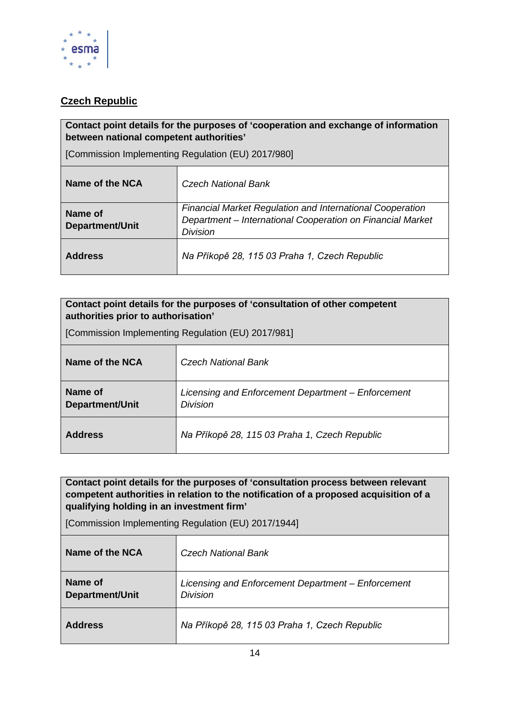

# <span id="page-13-0"></span>**Czech Republic**

#### **Contact point details for the purposes of 'cooperation and exchange of information between national competent authorities'**

[Commission Implementing Regulation (EU) 2017/980]

| Name of the NCA            | Czech National Bank                                                                                                                               |
|----------------------------|---------------------------------------------------------------------------------------------------------------------------------------------------|
| Name of<br>Department/Unit | <b>Financial Market Regulation and International Cooperation</b><br>Department - International Cooperation on Financial Market<br><b>Division</b> |
| <b>Address</b>             | Na Příkopě 28, 115 03 Praha 1, Czech Republic                                                                                                     |

#### **Contact point details for the purposes of 'consultation of other competent authorities prior to authorisation'**

[Commission Implementing Regulation (EU) 2017/981]

| Name of the NCA            | Czech National Bank                                                   |
|----------------------------|-----------------------------------------------------------------------|
| Name of<br>Department/Unit | Licensing and Enforcement Department - Enforcement<br><b>Division</b> |
| <b>Address</b>             | Na Příkopě 28, 115 03 Praha 1, Czech Republic                         |

**Contact point details for the purposes of 'consultation process between relevant competent authorities in relation to the notification of a proposed acquisition of a qualifying holding in an investment firm'** 

| Name of the NCA                   | <b>Czech National Bank</b>                                            |
|-----------------------------------|-----------------------------------------------------------------------|
| Name of<br><b>Department/Unit</b> | Licensing and Enforcement Department - Enforcement<br><b>Division</b> |
| <b>Address</b>                    | Na Příkopě 28, 115 03 Praha 1, Czech Republic                         |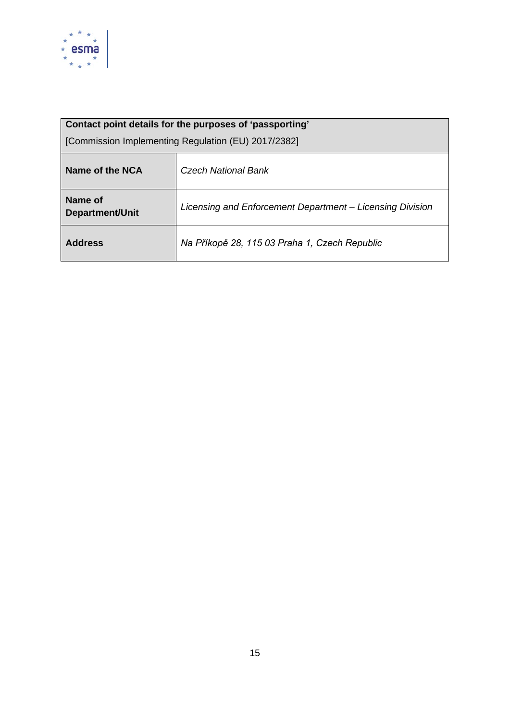

| Contact point details for the purposes of 'passporting' |                                                           |
|---------------------------------------------------------|-----------------------------------------------------------|
| [Commission Implementing Regulation (EU) 2017/2382]     |                                                           |
| Name of the NCA                                         | Czech National Bank                                       |
| Name of<br><b>Department/Unit</b>                       | Licensing and Enforcement Department – Licensing Division |
| <b>Address</b>                                          | Na Příkopě 28, 115 03 Praha 1, Czech Republic             |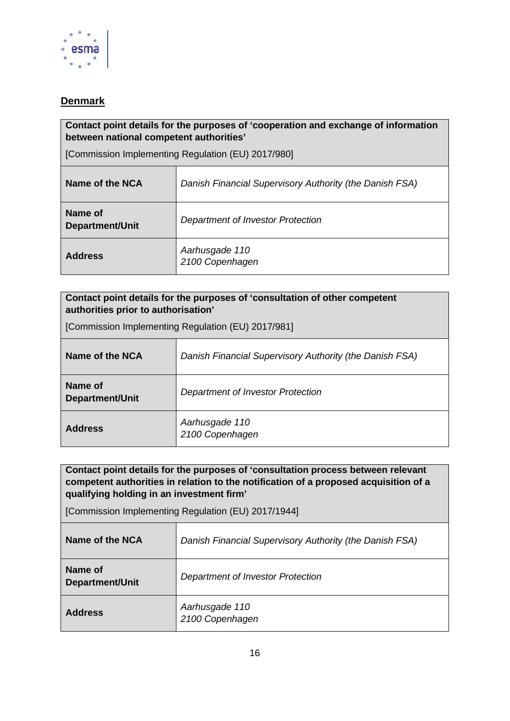

# <span id="page-15-0"></span>**Denmark**

#### **Contact point details for the purposes of 'cooperation and exchange of information between national competent authorities'**

[Commission Implementing Regulation (EU) 2017/980]

| Name of the NCA                   | Danish Financial Supervisory Authority (the Danish FSA) |
|-----------------------------------|---------------------------------------------------------|
| Name of<br><b>Department/Unit</b> | Department of Investor Protection                       |
| <b>Address</b>                    | Aarhusgade 110<br>2100 Copenhagen                       |

| Contact point details for the purposes of 'consultation of other competent<br>authorities prior to authorisation' |                                                         |
|-------------------------------------------------------------------------------------------------------------------|---------------------------------------------------------|
| [Commission Implementing Regulation (EU) 2017/981]                                                                |                                                         |
| Name of the NCA                                                                                                   | Danish Financial Supervisory Authority (the Danish FSA) |
| Name of<br><b>Department/Unit</b>                                                                                 | Department of Investor Protection                       |
| <b>Address</b>                                                                                                    | Aarhusgade 110<br>2100 Copenhagen                       |

**Contact point details for the purposes of 'consultation process between relevant competent authorities in relation to the notification of a proposed acquisition of a qualifying holding in an investment firm'** 

| Name of the NCA                   | Danish Financial Supervisory Authority (the Danish FSA) |
|-----------------------------------|---------------------------------------------------------|
| Name of<br><b>Department/Unit</b> | Department of Investor Protection                       |
| <b>Address</b>                    | Aarhusgade 110<br>2100 Copenhagen                       |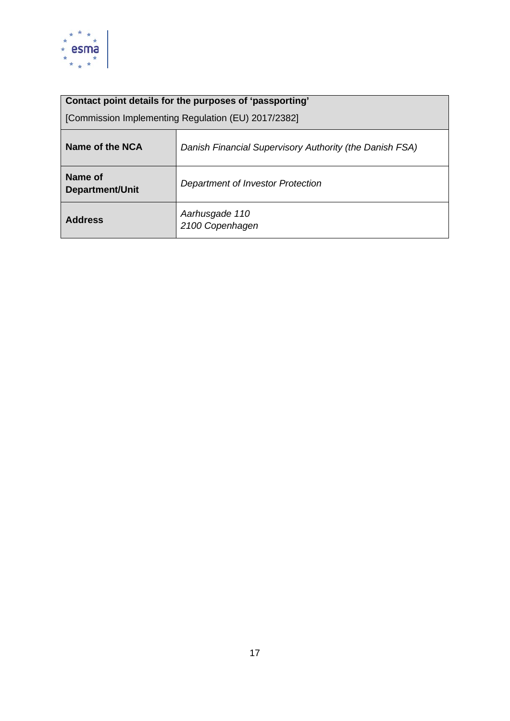

| Contact point details for the purposes of 'passporting' |                                                         |
|---------------------------------------------------------|---------------------------------------------------------|
| [Commission Implementing Regulation (EU) 2017/2382]     |                                                         |
| Name of the NCA                                         | Danish Financial Supervisory Authority (the Danish FSA) |
| Name of<br><b>Department/Unit</b>                       | Department of Investor Protection                       |
| <b>Address</b>                                          | Aarhusgade 110<br>2100 Copenhagen                       |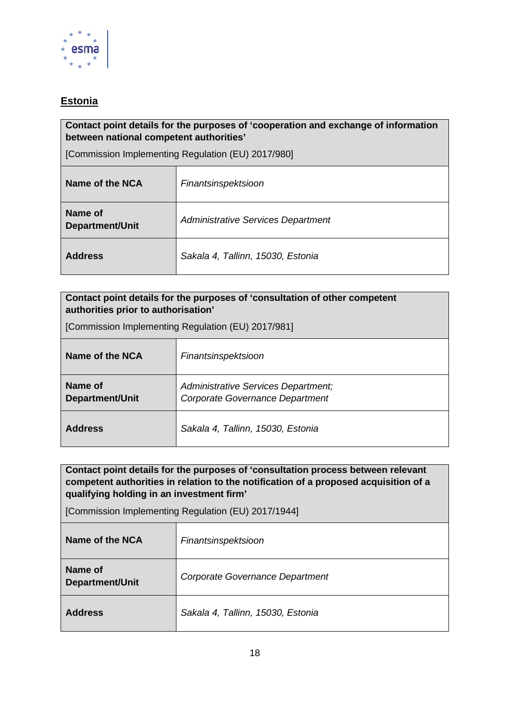

# <span id="page-17-0"></span>**Estonia**

#### **Contact point details for the purposes of 'cooperation and exchange of information between national competent authorities'**

[Commission Implementing Regulation (EU) 2017/980]

| Name of the NCA            | Finantsinspektsioon                       |
|----------------------------|-------------------------------------------|
| Name of<br>Department/Unit | <b>Administrative Services Department</b> |
| <b>Address</b>             | Sakala 4, Tallinn, 15030, Estonia         |

| Contact point details for the purposes of 'consultation of other competent<br>authorities prior to authorisation' |                                                                        |
|-------------------------------------------------------------------------------------------------------------------|------------------------------------------------------------------------|
| [Commission Implementing Regulation (EU) 2017/981]                                                                |                                                                        |
| Name of the NCA                                                                                                   | Finantsinspektsioon                                                    |
| Name of<br>Department/Unit                                                                                        | Administrative Services Department;<br>Corporate Governance Department |
| <b>Address</b>                                                                                                    | Sakala 4, Tallinn, 15030, Estonia                                      |

**Contact point details for the purposes of 'consultation process between relevant competent authorities in relation to the notification of a proposed acquisition of a qualifying holding in an investment firm'** 

| Name of the NCA            | Finantsinspektsioon               |
|----------------------------|-----------------------------------|
| Name of<br>Department/Unit | Corporate Governance Department   |
| <b>Address</b>             | Sakala 4, Tallinn, 15030, Estonia |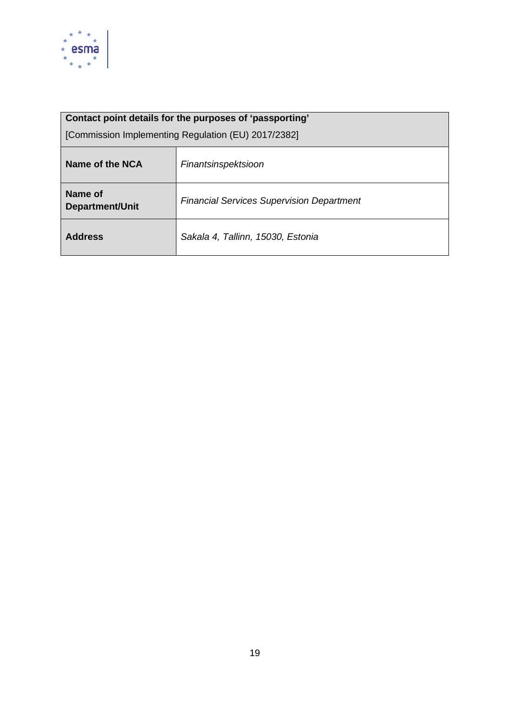

| Contact point details for the purposes of 'passporting' |                                                  |
|---------------------------------------------------------|--------------------------------------------------|
| [Commission Implementing Regulation (EU) 2017/2382]     |                                                  |
| Name of the NCA                                         | Finantsinspektsioon                              |
| Name of<br><b>Department/Unit</b>                       | <b>Financial Services Supervision Department</b> |
| <b>Address</b>                                          | Sakala 4, Tallinn, 15030, Estonia                |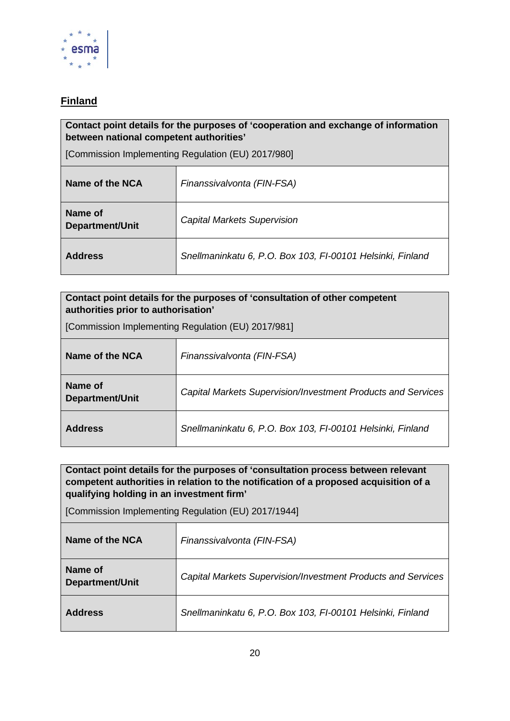

# <span id="page-19-0"></span>**Finland**

#### **Contact point details for the purposes of 'cooperation and exchange of information between national competent authorities'**

[Commission Implementing Regulation (EU) 2017/980]

| Name of the NCA                   | Finanssivalvonta (FIN-FSA)                                 |
|-----------------------------------|------------------------------------------------------------|
| Name of<br><b>Department/Unit</b> | <b>Capital Markets Supervision</b>                         |
| <b>Address</b>                    | Snellmaninkatu 6, P.O. Box 103, FI-00101 Helsinki, Finland |

| Contact point details for the purposes of 'consultation of other competent<br>authorities prior to authorisation' |                                                              |
|-------------------------------------------------------------------------------------------------------------------|--------------------------------------------------------------|
| [Commission Implementing Regulation (EU) 2017/981]                                                                |                                                              |
| Name of the NCA                                                                                                   | Finanssivalvonta (FIN-FSA)                                   |
| Name of<br><b>Department/Unit</b>                                                                                 | Capital Markets Supervision/Investment Products and Services |
| <b>Address</b>                                                                                                    | Snellmaninkatu 6, P.O. Box 103, FI-00101 Helsinki, Finland   |

**Contact point details for the purposes of 'consultation process between relevant competent authorities in relation to the notification of a proposed acquisition of a qualifying holding in an investment firm'** 

| Name of the NCA            | Finanssivalvonta (FIN-FSA)                                   |
|----------------------------|--------------------------------------------------------------|
| Name of<br>Department/Unit | Capital Markets Supervision/Investment Products and Services |
| <b>Address</b>             | Snellmaninkatu 6, P.O. Box 103, FI-00101 Helsinki, Finland   |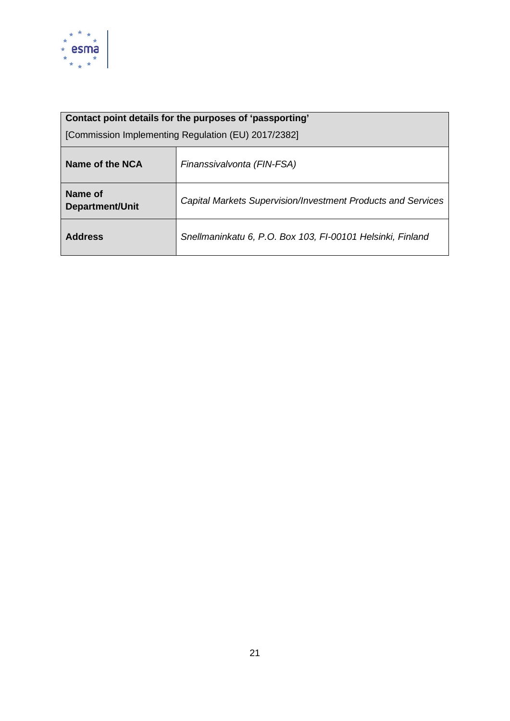

| Contact point details for the purposes of 'passporting' |                                                              |
|---------------------------------------------------------|--------------------------------------------------------------|
| [Commission Implementing Regulation (EU) 2017/2382]     |                                                              |
| Name of the NCA                                         | Finanssivalvonta (FIN-FSA)                                   |
| Name of<br><b>Department/Unit</b>                       | Capital Markets Supervision/Investment Products and Services |
| <b>Address</b>                                          | Snellmaninkatu 6, P.O. Box 103, FI-00101 Helsinki, Finland   |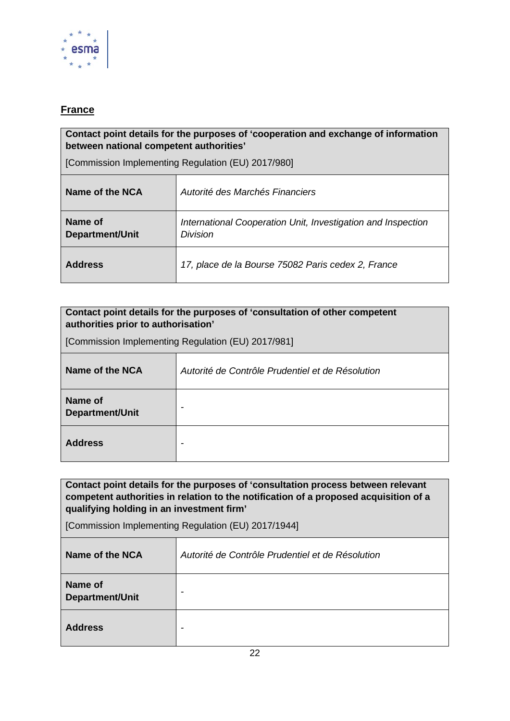

### <span id="page-21-0"></span>**France**

#### **Contact point details for the purposes of 'cooperation and exchange of information between national competent authorities'**

[Commission Implementing Regulation (EU) 2017/980]

| Name of the NCA            | Autorité des Marchés Financiers                                                 |
|----------------------------|---------------------------------------------------------------------------------|
| Name of<br>Department/Unit | International Cooperation Unit, Investigation and Inspection<br><b>Division</b> |
| <b>Address</b>             | 17, place de la Bourse 75082 Paris cedex 2, France                              |

| Contact point details for the purposes of 'consultation of other competent<br>authorities prior to authorisation' |                                                  |
|-------------------------------------------------------------------------------------------------------------------|--------------------------------------------------|
| [Commission Implementing Regulation (EU) 2017/981]                                                                |                                                  |
| Name of the NCA                                                                                                   | Autorité de Contrôle Prudentiel et de Résolution |
| Name of<br><b>Department/Unit</b>                                                                                 |                                                  |
| <b>Address</b>                                                                                                    |                                                  |

**Contact point details for the purposes of 'consultation process between relevant competent authorities in relation to the notification of a proposed acquisition of a qualifying holding in an investment firm'** 

| Name of the NCA                   | Autorité de Contrôle Prudentiel et de Résolution |
|-----------------------------------|--------------------------------------------------|
| Name of<br><b>Department/Unit</b> | -                                                |
| <b>Address</b>                    | -                                                |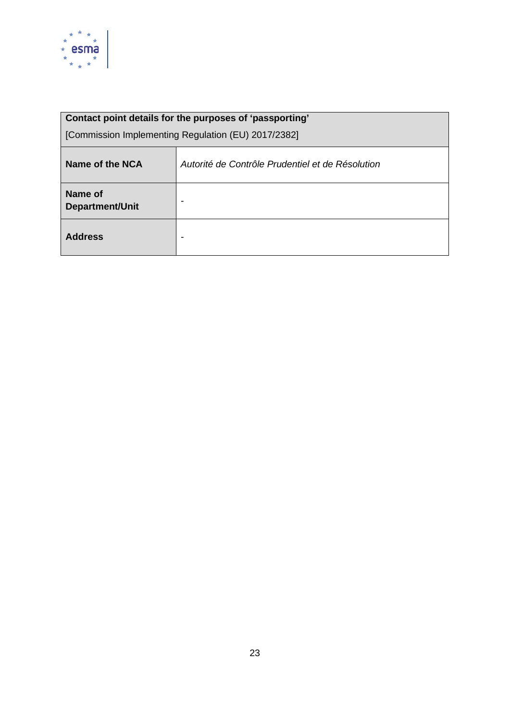

| Name of the NCA            | Autorité de Contrôle Prudentiel et de Résolution |
|----------------------------|--------------------------------------------------|
| Name of<br>Department/Unit | -                                                |
| <b>Address</b>             | $\overline{\phantom{0}}$                         |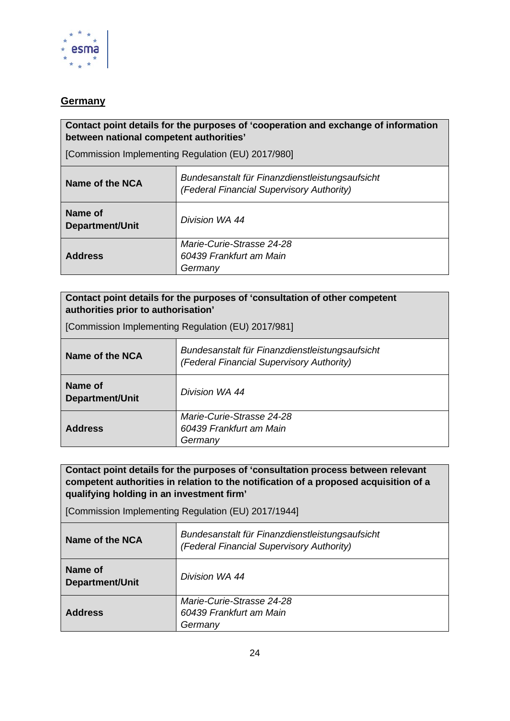

#### <span id="page-23-0"></span>**Germany**

#### **Contact point details for the purposes of 'cooperation and exchange of information between national competent authorities'**

[Commission Implementing Regulation (EU) 2017/980]

| Name of the NCA                   | Bundesanstalt für Finanzdienstleistungsaufsicht<br>(Federal Financial Supervisory Authority) |
|-----------------------------------|----------------------------------------------------------------------------------------------|
| Name of<br><b>Department/Unit</b> | Division WA 44                                                                               |
| <b>Address</b>                    | Marie-Curie-Strasse 24-28<br>60439 Frankfurt am Main<br>Germany                              |

#### **Contact point details for the purposes of 'consultation of other competent authorities prior to authorisation'**

[Commission Implementing Regulation (EU) 2017/981]

| Name of the NCA                   | Bundesanstalt für Finanzdienstleistungsaufsicht<br>(Federal Financial Supervisory Authority) |
|-----------------------------------|----------------------------------------------------------------------------------------------|
| Name of<br><b>Department/Unit</b> | Division WA 44                                                                               |
| <b>Address</b>                    | Marie-Curie-Strasse 24-28<br>60439 Frankfurt am Main<br>Germany                              |

#### **Contact point details for the purposes of 'consultation process between relevant competent authorities in relation to the notification of a proposed acquisition of a qualifying holding in an investment firm'**

| Name of the NCA            | Bundesanstalt für Finanzdienstleistungsaufsicht<br>(Federal Financial Supervisory Authority) |
|----------------------------|----------------------------------------------------------------------------------------------|
| Name of<br>Department/Unit | Division WA 44                                                                               |
| <b>Address</b>             | Marie-Curie-Strasse 24-28<br>60439 Frankfurt am Main<br>Germany                              |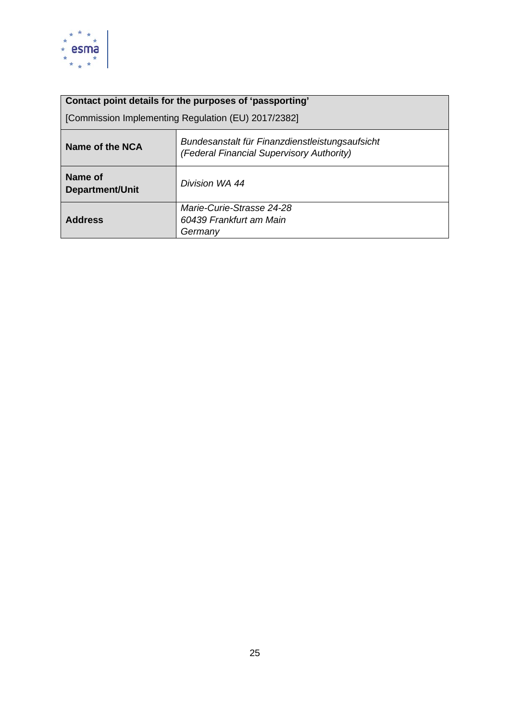

| Contact point details for the purposes of 'passporting' |                                                                                              |
|---------------------------------------------------------|----------------------------------------------------------------------------------------------|
| [Commission Implementing Regulation (EU) 2017/2382]     |                                                                                              |
| Name of the NCA                                         | Bundesanstalt für Finanzdienstleistungsaufsicht<br>(Federal Financial Supervisory Authority) |
| Name of<br>Department/Unit                              | Division WA 44                                                                               |
| <b>Address</b>                                          | Marie-Curie-Strasse 24-28<br>60439 Frankfurt am Main<br>Germany                              |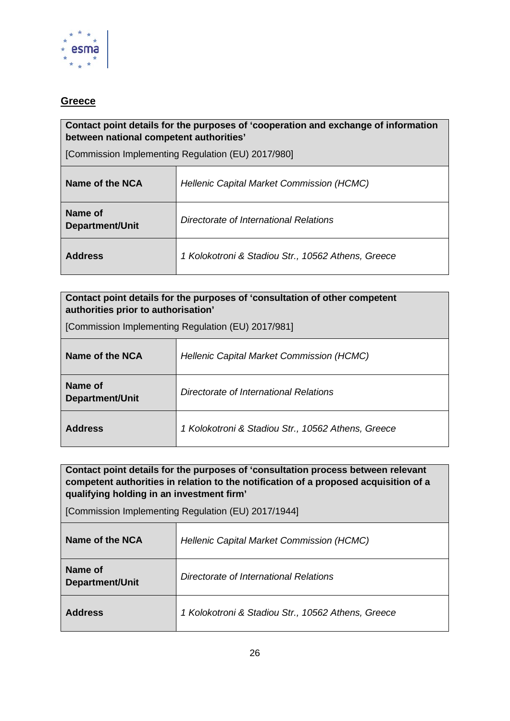

#### <span id="page-25-0"></span>**Greece**

#### **Contact point details for the purposes of 'cooperation and exchange of information between national competent authorities'**

[Commission Implementing Regulation (EU) 2017/980]

| Name of the NCA                   | Hellenic Capital Market Commission (HCMC)          |
|-----------------------------------|----------------------------------------------------|
| Name of<br><b>Department/Unit</b> | Directorate of International Relations             |
| <b>Address</b>                    | 1 Kolokotroni & Stadiou Str., 10562 Athens, Greece |

| Contact point details for the purposes of 'consultation of other competent<br>authorities prior to authorisation' |                                                    |
|-------------------------------------------------------------------------------------------------------------------|----------------------------------------------------|
| [Commission Implementing Regulation (EU) 2017/981]                                                                |                                                    |
| Name of the NCA                                                                                                   | Hellenic Capital Market Commission (HCMC)          |
| Name of<br><b>Department/Unit</b>                                                                                 | Directorate of International Relations             |
| <b>Address</b>                                                                                                    | 1 Kolokotroni & Stadiou Str., 10562 Athens, Greece |

**Contact point details for the purposes of 'consultation process between relevant competent authorities in relation to the notification of a proposed acquisition of a qualifying holding in an investment firm'** 

| Name of the NCA            | <b>Hellenic Capital Market Commission (HCMC)</b>   |
|----------------------------|----------------------------------------------------|
| Name of<br>Department/Unit | Directorate of International Relations             |
| <b>Address</b>             | 1 Kolokotroni & Stadiou Str., 10562 Athens, Greece |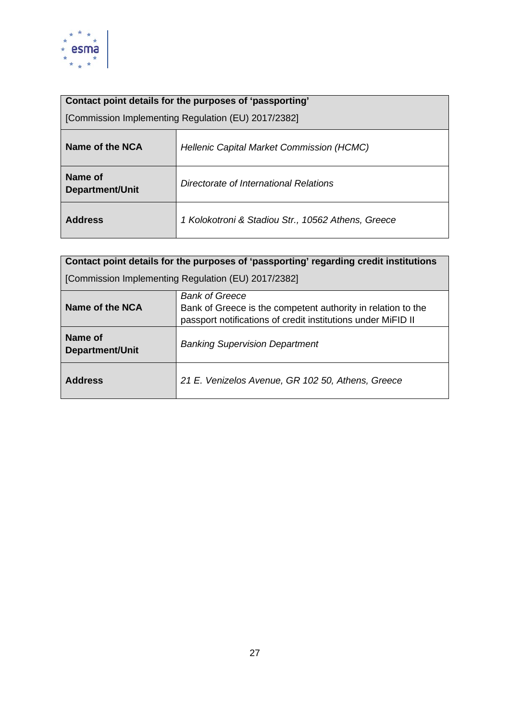

| Contact point details for the purposes of 'passporting' |                                                    |
|---------------------------------------------------------|----------------------------------------------------|
| [Commission Implementing Regulation (EU) 2017/2382]     |                                                    |
| Name of the NCA                                         | <b>Hellenic Capital Market Commission (HCMC)</b>   |
| Name of<br>Department/Unit                              | Directorate of International Relations             |
| <b>Address</b>                                          | 1 Kolokotroni & Stadiou Str., 10562 Athens, Greece |

| Contact point details for the purposes of 'passporting' regarding credit institutions |                                                                                                                                                       |
|---------------------------------------------------------------------------------------|-------------------------------------------------------------------------------------------------------------------------------------------------------|
| [Commission Implementing Regulation (EU) 2017/2382]                                   |                                                                                                                                                       |
| Name of the NCA                                                                       | <b>Bank of Greece</b><br>Bank of Greece is the competent authority in relation to the<br>passport notifications of credit institutions under MiFID II |
| Name of<br>Department/Unit                                                            | <b>Banking Supervision Department</b>                                                                                                                 |
| <b>Address</b>                                                                        | 21 E. Venizelos Avenue, GR 102 50, Athens, Greece                                                                                                     |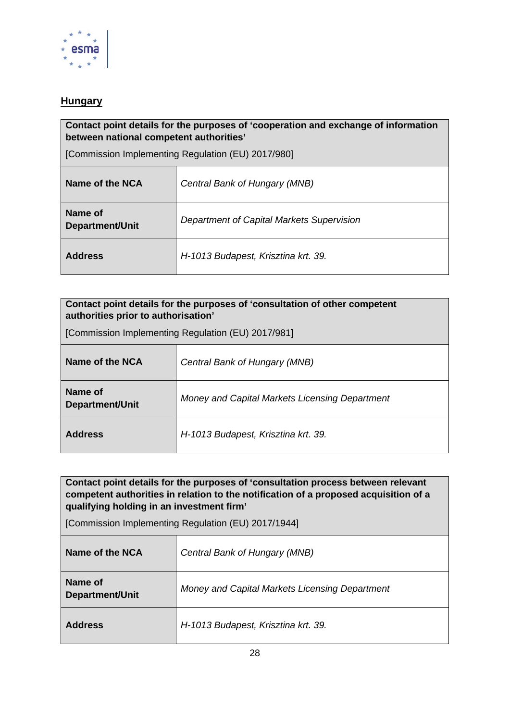

### <span id="page-27-0"></span>**Hungary**

#### **Contact point details for the purposes of 'cooperation and exchange of information between national competent authorities'**

[Commission Implementing Regulation (EU) 2017/980]

| Name of the NCA                   | Central Bank of Hungary (MNB)             |
|-----------------------------------|-------------------------------------------|
| Name of<br><b>Department/Unit</b> | Department of Capital Markets Supervision |
| <b>Address</b>                    | H-1013 Budapest, Krisztina krt. 39.       |

### **Contact point details for the purposes of 'consultation of other competent authorities prior to authorisation'**

[Commission Implementing Regulation (EU) 2017/981]

| Name of the NCA            | Central Bank of Hungary (MNB)                  |
|----------------------------|------------------------------------------------|
| Name of<br>Department/Unit | Money and Capital Markets Licensing Department |
| <b>Address</b>             | H-1013 Budapest, Krisztina krt. 39.            |

**Contact point details for the purposes of 'consultation process between relevant competent authorities in relation to the notification of a proposed acquisition of a qualifying holding in an investment firm'** 

| Name of the NCA            | Central Bank of Hungary (MNB)                  |
|----------------------------|------------------------------------------------|
| Name of<br>Department/Unit | Money and Capital Markets Licensing Department |
| <b>Address</b>             | H-1013 Budapest, Krisztina krt. 39.            |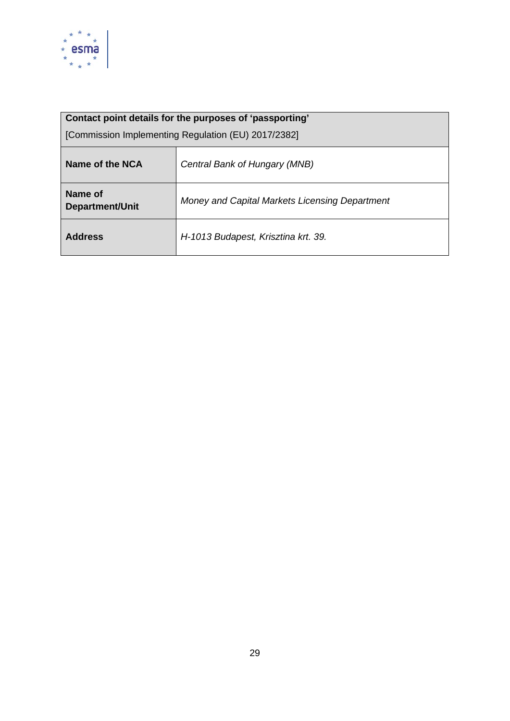

| Contact point details for the purposes of 'passporting' |                                                |
|---------------------------------------------------------|------------------------------------------------|
| [Commission Implementing Regulation (EU) 2017/2382]     |                                                |
| Name of the NCA                                         | Central Bank of Hungary (MNB)                  |
| Name of<br>Department/Unit                              | Money and Capital Markets Licensing Department |
| <b>Address</b>                                          | H-1013 Budapest, Krisztina krt. 39.            |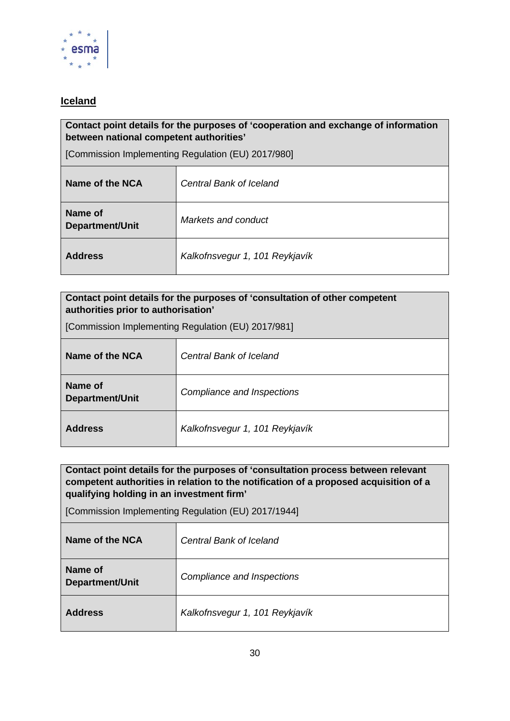

### <span id="page-29-0"></span>**Iceland**

#### **Contact point details for the purposes of 'cooperation and exchange of information between national competent authorities'**

[Commission Implementing Regulation (EU) 2017/980]

| Name of the NCA                   | <b>Central Bank of Iceland</b> |
|-----------------------------------|--------------------------------|
| Name of<br><b>Department/Unit</b> | Markets and conduct            |
| <b>Address</b>                    | Kalkofnsvegur 1, 101 Reykjavík |

| Contact point details for the purposes of 'consultation of other competent<br>authorities prior to authorisation' |                                |
|-------------------------------------------------------------------------------------------------------------------|--------------------------------|
| [Commission Implementing Regulation (EU) 2017/981]                                                                |                                |
| Name of the NCA                                                                                                   | <b>Central Bank of Iceland</b> |
| Name of<br><b>Department/Unit</b>                                                                                 | Compliance and Inspections     |
| <b>Address</b>                                                                                                    | Kalkofnsvegur 1, 101 Reykjavík |

**Contact point details for the purposes of 'consultation process between relevant competent authorities in relation to the notification of a proposed acquisition of a qualifying holding in an investment firm'** 

| Name of the NCA            | <b>Central Bank of Iceland</b> |
|----------------------------|--------------------------------|
| Name of<br>Department/Unit | Compliance and Inspections     |
| <b>Address</b>             | Kalkofnsvegur 1, 101 Reykjavík |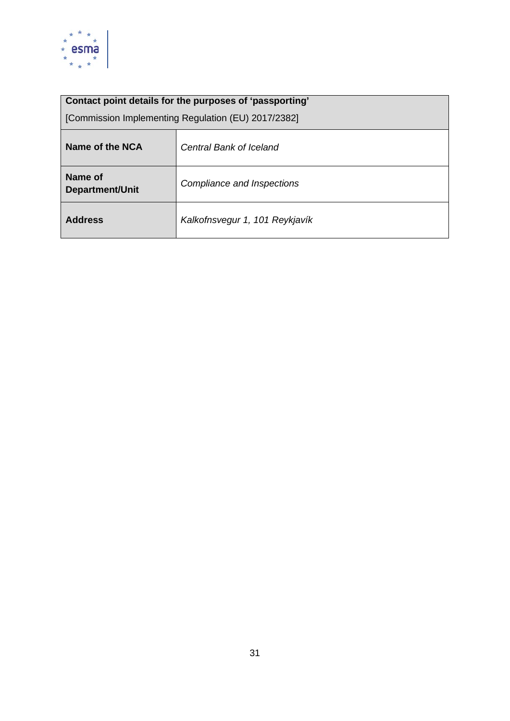

| Contact point details for the purposes of 'passporting' |                                |
|---------------------------------------------------------|--------------------------------|
| [Commission Implementing Regulation (EU) 2017/2382]     |                                |
| Name of the NCA                                         | <b>Central Bank of Iceland</b> |
| Name of<br><b>Department/Unit</b>                       | Compliance and Inspections     |
| <b>Address</b>                                          | Kalkofnsvegur 1, 101 Reykjavík |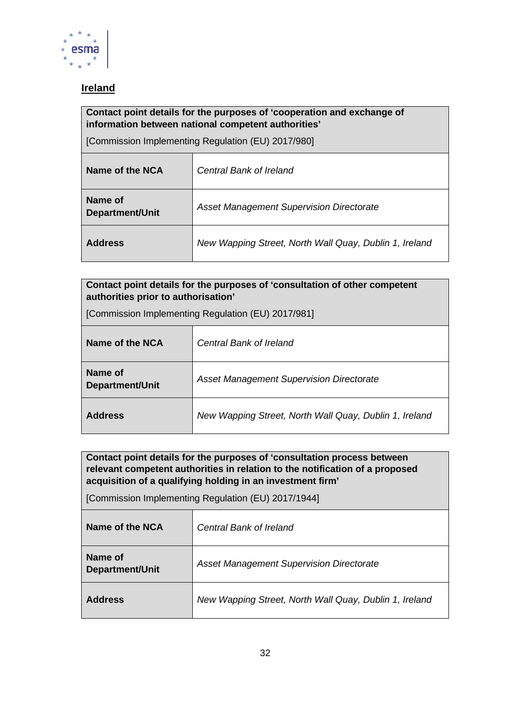

# <span id="page-31-0"></span>**Ireland**

#### **Contact point details for the purposes of 'cooperation and exchange of information between national competent authorities'**

[Commission Implementing Regulation (EU) 2017/980]

| Name of the NCA                   | <b>Central Bank of Ireland</b>                         |
|-----------------------------------|--------------------------------------------------------|
| Name of<br><b>Department/Unit</b> | <b>Asset Management Supervision Directorate</b>        |
| <b>Address</b>                    | New Wapping Street, North Wall Quay, Dublin 1, Ireland |

#### **Contact point details for the purposes of 'consultation of other competent authorities prior to authorisation'**

[Commission Implementing Regulation (EU) 2017/981]

| Name of the NCA            | <b>Central Bank of Ireland</b>                         |
|----------------------------|--------------------------------------------------------|
| Name of<br>Department/Unit | Asset Management Supervision Directorate               |
| <b>Address</b>             | New Wapping Street, North Wall Quay, Dublin 1, Ireland |

**Contact point details for the purposes of 'consultation process between relevant competent authorities in relation to the notification of a proposed acquisition of a qualifying holding in an investment firm'** 

| Name of the NCA                   | <b>Central Bank of Ireland</b>                         |
|-----------------------------------|--------------------------------------------------------|
| Name of<br><b>Department/Unit</b> | <b>Asset Management Supervision Directorate</b>        |
| <b>Address</b>                    | New Wapping Street, North Wall Quay, Dublin 1, Ireland |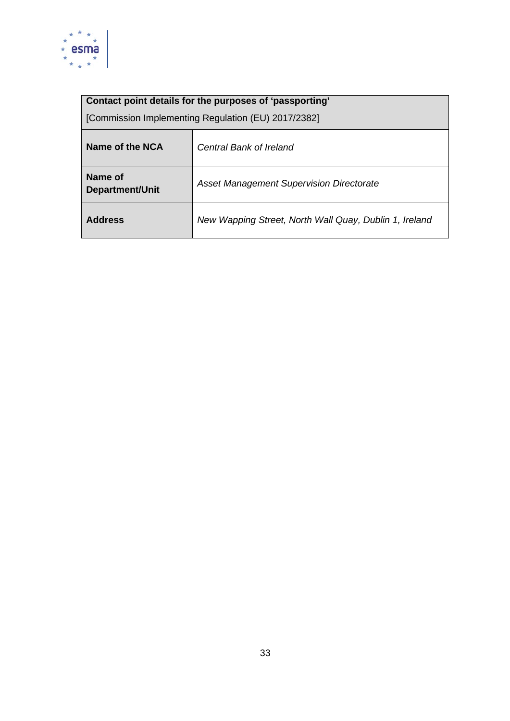

| Name of the NCA                   | <b>Central Bank of Ireland</b>                         |
|-----------------------------------|--------------------------------------------------------|
| Name of<br><b>Department/Unit</b> | <b>Asset Management Supervision Directorate</b>        |
| <b>Address</b>                    | New Wapping Street, North Wall Quay, Dublin 1, Ireland |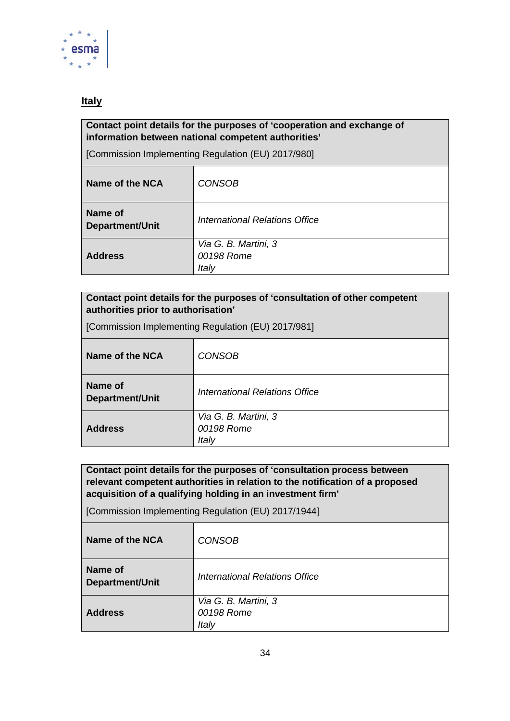

### <span id="page-33-0"></span>**Italy**

#### **Contact point details for the purposes of 'cooperation and exchange of information between national competent authorities'**

[Commission Implementing Regulation (EU) 2017/980]

| Name of the NCA                   | <b>CONSOB</b>                               |
|-----------------------------------|---------------------------------------------|
| Name of<br><b>Department/Unit</b> | International Relations Office              |
| <b>Address</b>                    | Via G. B. Martini, 3<br>00198 Rome<br>Italy |

#### **Contact point details for the purposes of 'consultation of other competent authorities prior to authorisation'**

[Commission Implementing Regulation (EU) 2017/981]

| Name of the NCA            | <b>CONSOB</b>                               |
|----------------------------|---------------------------------------------|
| Name of<br>Department/Unit | <b>International Relations Office</b>       |
| <b>Address</b>             | Via G. B. Martini, 3<br>00198 Rome<br>Italy |

**Contact point details for the purposes of 'consultation process between relevant competent authorities in relation to the notification of a proposed acquisition of a qualifying holding in an investment firm'** 

| Name of the NCA                   | <b>CONSOB</b>                               |
|-----------------------------------|---------------------------------------------|
| Name of<br><b>Department/Unit</b> | <b>International Relations Office</b>       |
| <b>Address</b>                    | Via G. B. Martini, 3<br>00198 Rome<br>Italy |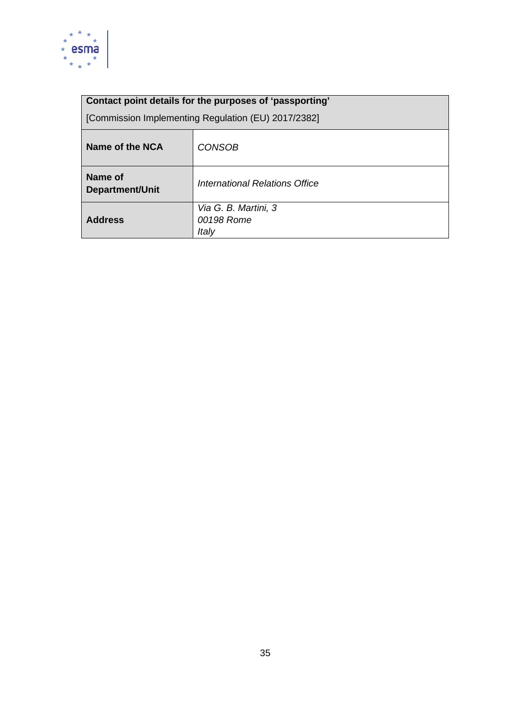

| Name of the NCA            | <b>CONSOB</b>                               |
|----------------------------|---------------------------------------------|
| Name of<br>Department/Unit | <b>International Relations Office</b>       |
| <b>Address</b>             | Via G. B. Martini, 3<br>00198 Rome<br>Italy |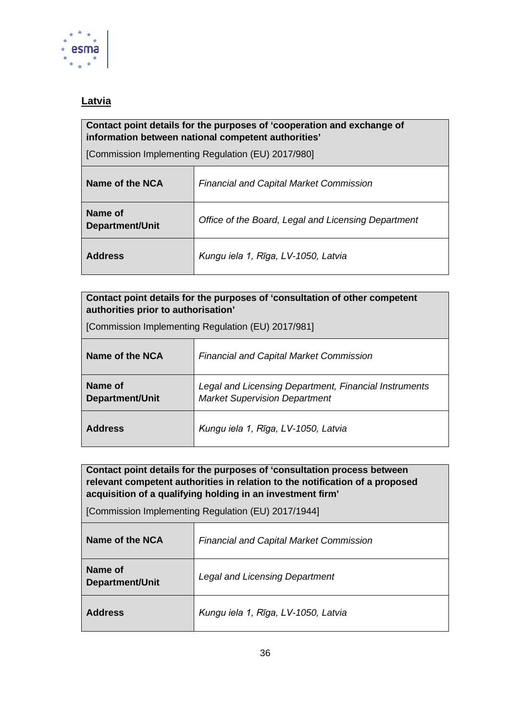

### <span id="page-35-0"></span>**Latvia**

#### **Contact point details for the purposes of 'cooperation and exchange of information between national competent authorities'**

[Commission Implementing Regulation (EU) 2017/980]

| Name of the NCA                   | <b>Financial and Capital Market Commission</b>      |
|-----------------------------------|-----------------------------------------------------|
| Name of<br><b>Department/Unit</b> | Office of the Board, Legal and Licensing Department |
| <b>Address</b>                    | Kungu iela 1, Rīga, LV-1050, Latvia                 |

| Contact point details for the purposes of 'consultation of other competent |  |
|----------------------------------------------------------------------------|--|
| authorities prior to authorisation'                                        |  |

| [Commission Implementing Regulation (EU) 2017/981] |
|----------------------------------------------------|
|----------------------------------------------------|

| Name of the NCA                   | <b>Financial and Capital Market Commission</b>                                                |
|-----------------------------------|-----------------------------------------------------------------------------------------------|
| Name of<br><b>Department/Unit</b> | Legal and Licensing Department, Financial Instruments<br><b>Market Supervision Department</b> |
| <b>Address</b>                    | Kungu iela 1, Rīga, LV-1050, Latvia                                                           |

**Contact point details for the purposes of 'consultation process between relevant competent authorities in relation to the notification of a proposed acquisition of a qualifying holding in an investment firm'** 

| Name of the NCA            | <b>Financial and Capital Market Commission</b> |
|----------------------------|------------------------------------------------|
| Name of<br>Department/Unit | <b>Legal and Licensing Department</b>          |
| <b>Address</b>             | Kungu iela 1, Rīga, LV-1050, Latvia            |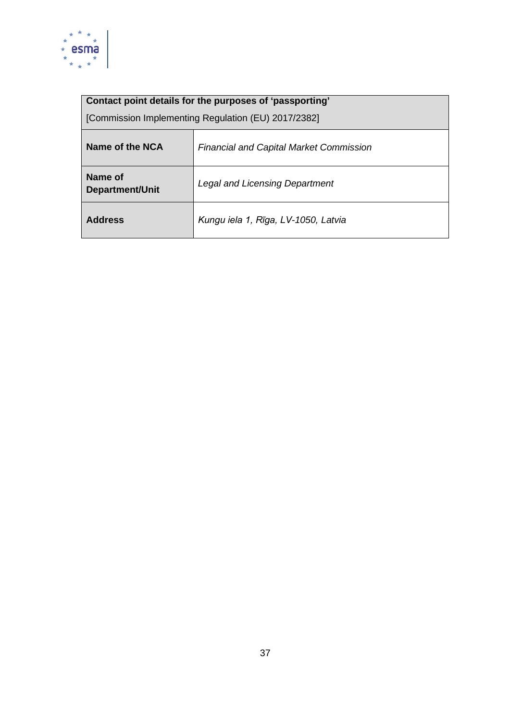

| Name of the NCA                   | <b>Financial and Capital Market Commission</b> |
|-----------------------------------|------------------------------------------------|
| Name of<br><b>Department/Unit</b> | <b>Legal and Licensing Department</b>          |
| <b>Address</b>                    | Kungu iela 1, Rīga, LV-1050, Latvia            |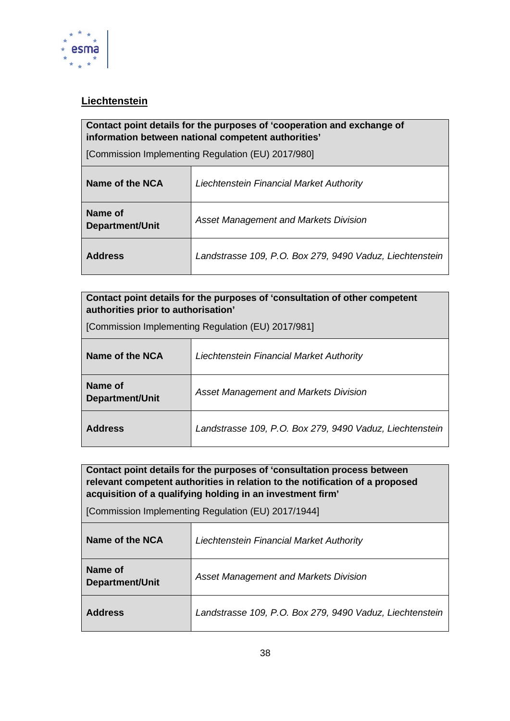

# <span id="page-37-0"></span>**Liechtenstein**

#### **Contact point details for the purposes of 'cooperation and exchange of information between national competent authorities'**

[Commission Implementing Regulation (EU) 2017/980]

| Name of the NCA            | Liechtenstein Financial Market Authority                 |
|----------------------------|----------------------------------------------------------|
| Name of<br>Department/Unit | <b>Asset Management and Markets Division</b>             |
| <b>Address</b>             | Landstrasse 109, P.O. Box 279, 9490 Vaduz, Liechtenstein |

#### **Contact point details for the purposes of 'consultation of other competent authorities prior to authorisation'**

[Commission Implementing Regulation (EU) 2017/981]

| Name of the NCA            | Liechtenstein Financial Market Authority                 |
|----------------------------|----------------------------------------------------------|
| Name of<br>Department/Unit | <b>Asset Management and Markets Division</b>             |
| <b>Address</b>             | Landstrasse 109, P.O. Box 279, 9490 Vaduz, Liechtenstein |

**Contact point details for the purposes of 'consultation process between relevant competent authorities in relation to the notification of a proposed acquisition of a qualifying holding in an investment firm'** 

| Name of the NCA            | Liechtenstein Financial Market Authority                 |
|----------------------------|----------------------------------------------------------|
| Name of<br>Department/Unit | <b>Asset Management and Markets Division</b>             |
| <b>Address</b>             | Landstrasse 109, P.O. Box 279, 9490 Vaduz, Liechtenstein |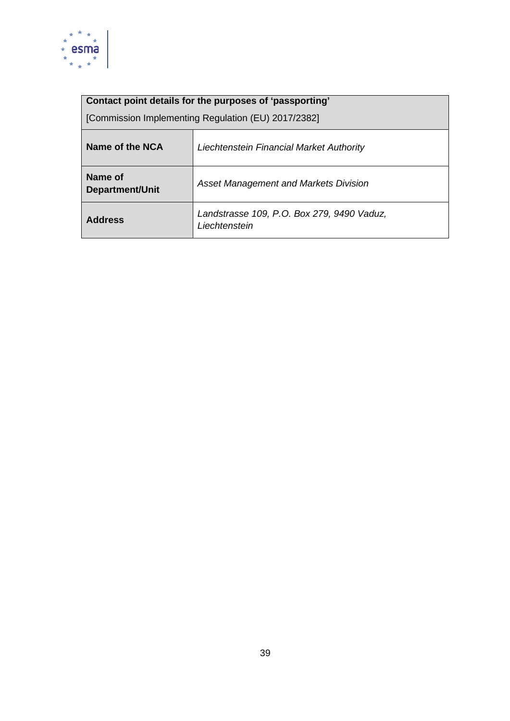

| Name of the NCA            | Liechtenstein Financial Market Authority                    |
|----------------------------|-------------------------------------------------------------|
| Name of<br>Department/Unit | <b>Asset Management and Markets Division</b>                |
| <b>Address</b>             | Landstrasse 109, P.O. Box 279, 9490 Vaduz,<br>Liechtenstein |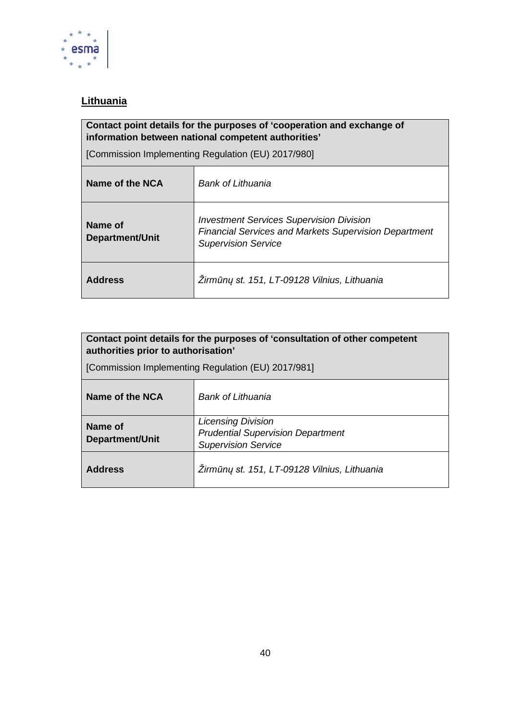

# <span id="page-39-0"></span>**Lithuania**

# **Contact point details for the purposes of 'cooperation and exchange of information between national competent authorities'**

| Name of the NCA                   | Bank of Lithuania                                                                                                                             |
|-----------------------------------|-----------------------------------------------------------------------------------------------------------------------------------------------|
| Name of<br><b>Department/Unit</b> | <b>Investment Services Supervision Division</b><br><b>Financial Services and Markets Supervision Department</b><br><b>Supervision Service</b> |
| <b>Address</b>                    | Žirmūnų st. 151, LT-09128 Vilnius, Lithuania                                                                                                  |

| Contact point details for the purposes of 'consultation of other competent<br>authorities prior to authorisation'<br>[Commission Implementing Regulation (EU) 2017/981] |                                                                                                     |
|-------------------------------------------------------------------------------------------------------------------------------------------------------------------------|-----------------------------------------------------------------------------------------------------|
| Name of the NCA                                                                                                                                                         | Bank of Lithuania                                                                                   |
| Name of<br><b>Department/Unit</b>                                                                                                                                       | <b>Licensing Division</b><br><b>Prudential Supervision Department</b><br><b>Supervision Service</b> |
| <b>Address</b>                                                                                                                                                          | Žirmūnų st. 151, LT-09128 Vilnius, Lithuania                                                        |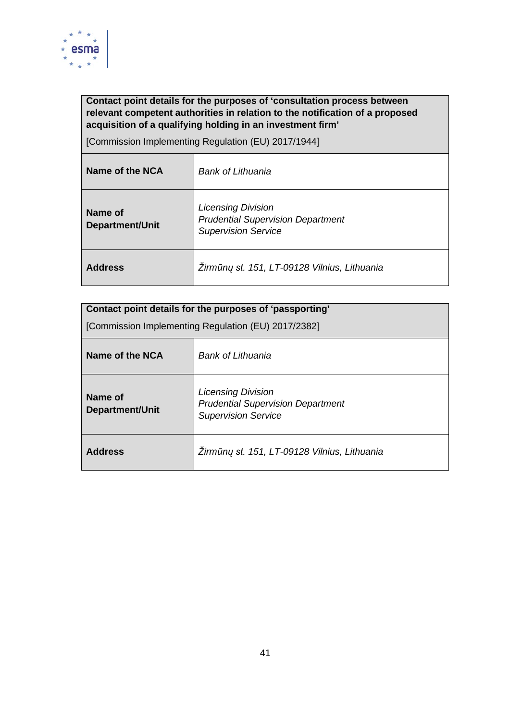

### **Contact point details for the purposes of 'consultation process between relevant competent authorities in relation to the notification of a proposed acquisition of a qualifying holding in an investment firm'**

| Name of the NCA            | Bank of Lithuania                                                                                   |
|----------------------------|-----------------------------------------------------------------------------------------------------|
| Name of<br>Department/Unit | <b>Licensing Division</b><br><b>Prudential Supervision Department</b><br><b>Supervision Service</b> |
| <b>Address</b>             | Žirmūnų st. 151, LT-09128 Vilnius, Lithuania                                                        |

| Contact point details for the purposes of 'passporting' |                                                                                                     |
|---------------------------------------------------------|-----------------------------------------------------------------------------------------------------|
| [Commission Implementing Regulation (EU) 2017/2382]     |                                                                                                     |
| Name of the NCA                                         | Bank of Lithuania                                                                                   |
| Name of<br><b>Department/Unit</b>                       | <b>Licensing Division</b><br><b>Prudential Supervision Department</b><br><b>Supervision Service</b> |
| <b>Address</b>                                          | Žirmūnų st. 151, LT-09128 Vilnius, Lithuania                                                        |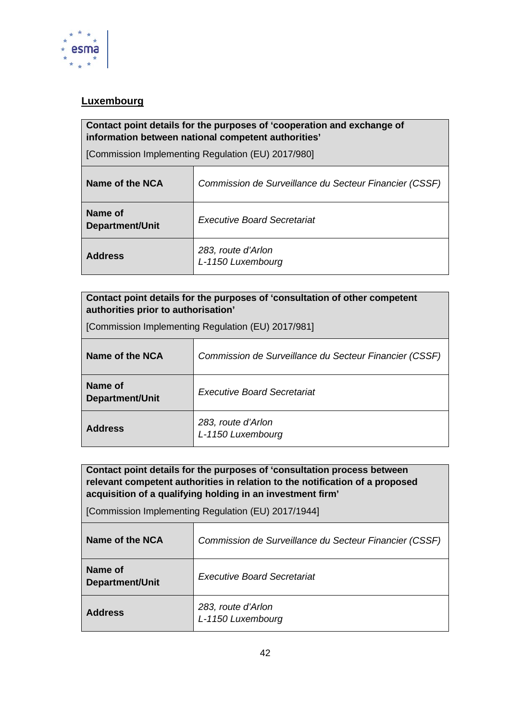

# <span id="page-41-0"></span>**Luxembourg**

#### **Contact point details for the purposes of 'cooperation and exchange of information between national competent authorities'**

[Commission Implementing Regulation (EU) 2017/980]

| Name of the NCA                   | Commission de Surveillance du Secteur Financier (CSSF) |  |
|-----------------------------------|--------------------------------------------------------|--|
| Name of<br><b>Department/Unit</b> | <b>Executive Board Secretariat</b>                     |  |
| <b>Address</b>                    | 283, route d'Arlon<br>L-1150 Luxembourg                |  |

| Contact point details for the purposes of 'consultation of other competent |  |
|----------------------------------------------------------------------------|--|
| authorities prior to authorisation'                                        |  |

[Commission Implementing Regulation (EU) 2017/981]

| Name of the NCA            | Commission de Surveillance du Secteur Financier (CSSF) |  |  |
|----------------------------|--------------------------------------------------------|--|--|
| Name of<br>Department/Unit | <b>Executive Board Secretariat</b>                     |  |  |
| <b>Address</b>             | 283, route d'Arlon<br>L-1150 Luxembourg                |  |  |

**Contact point details for the purposes of 'consultation process between relevant competent authorities in relation to the notification of a proposed acquisition of a qualifying holding in an investment firm'** 

| Name of the NCA                   | Commission de Surveillance du Secteur Financier (CSSF) |
|-----------------------------------|--------------------------------------------------------|
| Name of<br><b>Department/Unit</b> | <b>Executive Board Secretariat</b>                     |
| <b>Address</b>                    | 283, route d'Arlon<br>L-1150 Luxembourg                |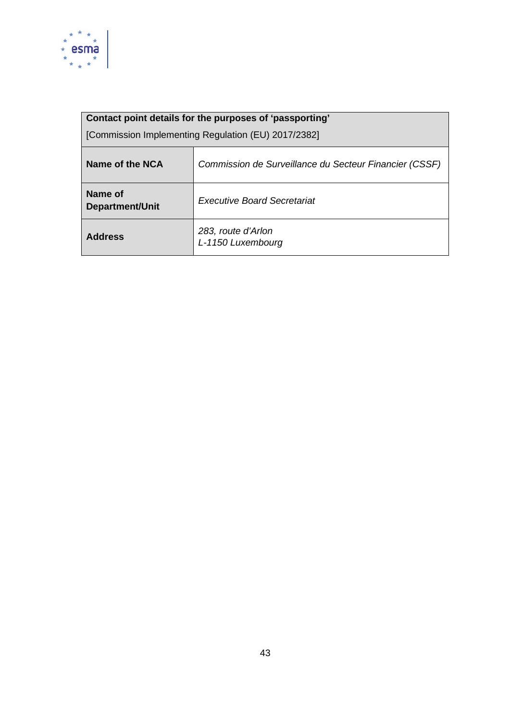

# **Contact point details for the purposes of 'passporting'**  [Commission Implementing Regulation (EU) 2017/2382] **Name of the NCA** *Commission de Surveillance du Secteur Financier (CSSF)* **Name of<br>Department/Unit Executive Board Secretariat Address** *283, route d'Arlon L-1150 Luxembourg*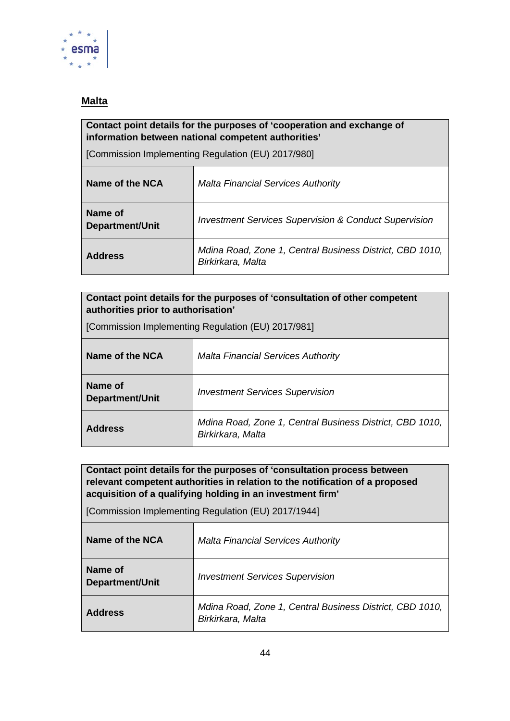

### <span id="page-43-0"></span>**Malta**

#### **Contact point details for the purposes of 'cooperation and exchange of information between national competent authorities'**

[Commission Implementing Regulation (EU) 2017/980]

| Name of the NCA                   | <b>Malta Financial Services Authority</b>                                     |
|-----------------------------------|-------------------------------------------------------------------------------|
| Name of<br><b>Department/Unit</b> | <b>Investment Services Supervision &amp; Conduct Supervision</b>              |
| <b>Address</b>                    | Mdina Road, Zone 1, Central Business District, CBD 1010,<br>Birkirkara, Malta |

#### **Contact point details for the purposes of 'consultation of other competent authorities prior to authorisation'**

[Commission Implementing Regulation (EU) 2017/981]

| Name of the NCA            | <b>Malta Financial Services Authority</b>                                     |  |  |
|----------------------------|-------------------------------------------------------------------------------|--|--|
| Name of<br>Department/Unit | <b>Investment Services Supervision</b>                                        |  |  |
| <b>Address</b>             | Mdina Road, Zone 1, Central Business District, CBD 1010,<br>Birkirkara, Malta |  |  |

**Contact point details for the purposes of 'consultation process between relevant competent authorities in relation to the notification of a proposed acquisition of a qualifying holding in an investment firm'** 

| Name of the NCA            | <b>Malta Financial Services Authority</b>                                     |  |  |
|----------------------------|-------------------------------------------------------------------------------|--|--|
| Name of<br>Department/Unit | <b>Investment Services Supervision</b>                                        |  |  |
| <b>Address</b>             | Mdina Road, Zone 1, Central Business District, CBD 1010,<br>Birkirkara, Malta |  |  |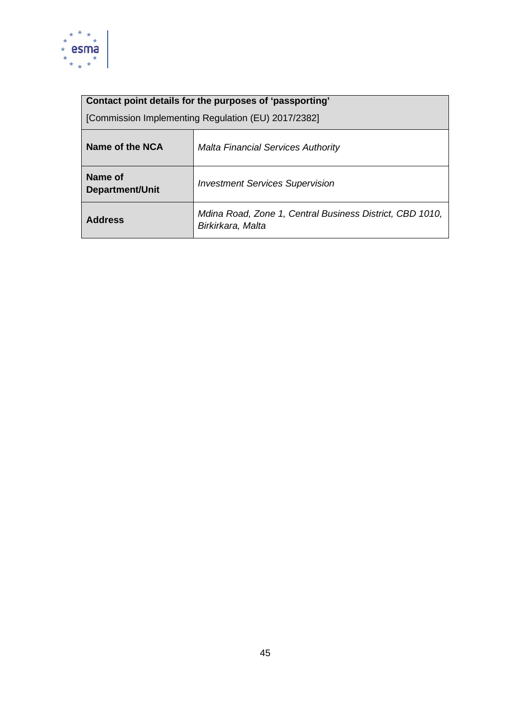

| [Commission Implementing Regulation (EU) 2017/2382] |                                           |  |  |  |
|-----------------------------------------------------|-------------------------------------------|--|--|--|
| Name of the NCA                                     | <b>Malta Financial Services Authority</b> |  |  |  |
| Name of                                             | $\sim$ $\sim$ $\sim$ $\sim$ $\sim$ $\sim$ |  |  |  |

| <b>Department/Unit</b> | <b>Investment Services Supervision</b>                                        |  |  |
|------------------------|-------------------------------------------------------------------------------|--|--|
| <b>Address</b>         | Mdina Road, Zone 1, Central Business District, CBD 1010,<br>Birkirkara, Malta |  |  |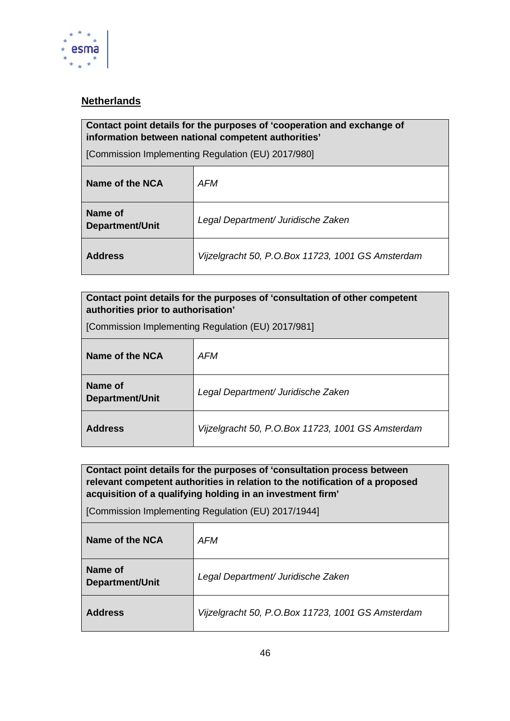

# <span id="page-45-0"></span>**Netherlands**

#### **Contact point details for the purposes of 'cooperation and exchange of information between national competent authorities'**

[Commission Implementing Regulation (EU) 2017/980]

| Name of the NCA                   | AFM                                               |
|-----------------------------------|---------------------------------------------------|
| Name of<br><b>Department/Unit</b> | Legal Department/ Juridische Zaken                |
| <b>Address</b>                    | Vijzelgracht 50, P.O.Box 11723, 1001 GS Amsterdam |

| Contact point details for the purposes of 'consultation of other competent |  |  |  |  |  |  |  |                |
|----------------------------------------------------------------------------|--|--|--|--|--|--|--|----------------|
| authorities prior to authorisation'                                        |  |  |  |  |  |  |  |                |
| $\sim$                                                                     |  |  |  |  |  |  |  | $\blacksquare$ |

[Commission Implementing Regulation (EU) 2017/981]

| Name of the NCA            | AFM                                               |
|----------------------------|---------------------------------------------------|
| Name of<br>Department/Unit | Legal Department/ Juridische Zaken                |
| <b>Address</b>             | Vijzelgracht 50, P.O.Box 11723, 1001 GS Amsterdam |

**Contact point details for the purposes of 'consultation process between relevant competent authorities in relation to the notification of a proposed acquisition of a qualifying holding in an investment firm'** 

| Name of the NCA                   | AFM                                               |
|-----------------------------------|---------------------------------------------------|
| Name of<br><b>Department/Unit</b> | Legal Department/ Juridische Zaken                |
| <b>Address</b>                    | Vijzelgracht 50, P.O.Box 11723, 1001 GS Amsterdam |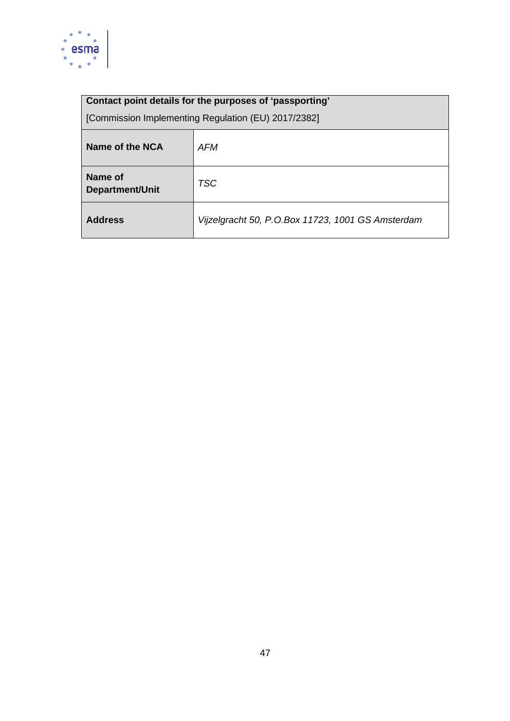

| Name of the NCA            | AFM                                               |
|----------------------------|---------------------------------------------------|
| Name of<br>Department/Unit | <b>TSC</b>                                        |
| <b>Address</b>             | Vijzelgracht 50, P.O.Box 11723, 1001 GS Amsterdam |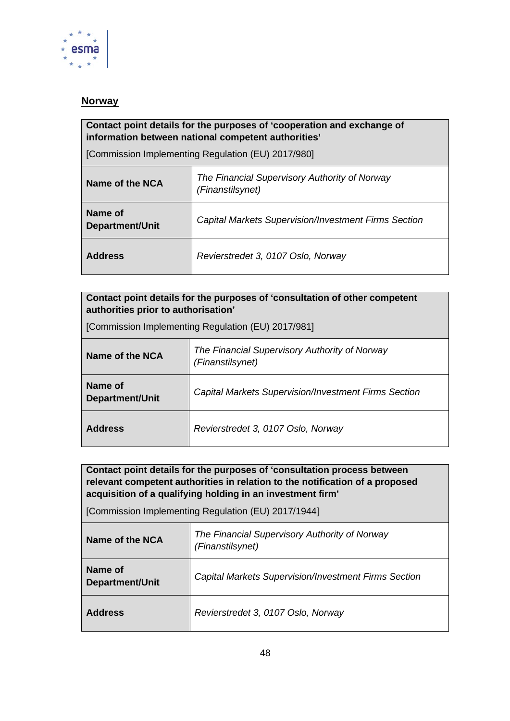

### <span id="page-47-0"></span>**Norway**

#### **Contact point details for the purposes of 'cooperation and exchange of information between national competent authorities'**

[Commission Implementing Regulation (EU) 2017/980]

| Name of the NCA                   | The Financial Supervisory Authority of Norway<br>(Finanstilsynet) |
|-----------------------------------|-------------------------------------------------------------------|
| Name of<br><b>Department/Unit</b> | <b>Capital Markets Supervision/Investment Firms Section</b>       |
| <b>Address</b>                    | Revierstredet 3, 0107 Oslo, Norway                                |

| Contact point details for the purposes of 'consultation of other competent<br>authorities prior to authorisation' |                                                                   |
|-------------------------------------------------------------------------------------------------------------------|-------------------------------------------------------------------|
| [Commission Implementing Regulation (EU) 2017/981]                                                                |                                                                   |
| Name of the NCA                                                                                                   | The Financial Supervisory Authority of Norway<br>(Finanstilsynet) |
| Name of<br><b>Department/Unit</b>                                                                                 | <b>Capital Markets Supervision/Investment Firms Section</b>       |
| <b>Address</b>                                                                                                    | Revierstredet 3, 0107 Oslo, Norway                                |

**Contact point details for the purposes of 'consultation process between relevant competent authorities in relation to the notification of a proposed acquisition of a qualifying holding in an investment firm'** 

| Name of the NCA                   | The Financial Supervisory Authority of Norway<br>(Finanstilsynet) |
|-----------------------------------|-------------------------------------------------------------------|
| Name of<br><b>Department/Unit</b> | <b>Capital Markets Supervision/Investment Firms Section</b>       |
| <b>Address</b>                    | Revierstredet 3, 0107 Oslo, Norway                                |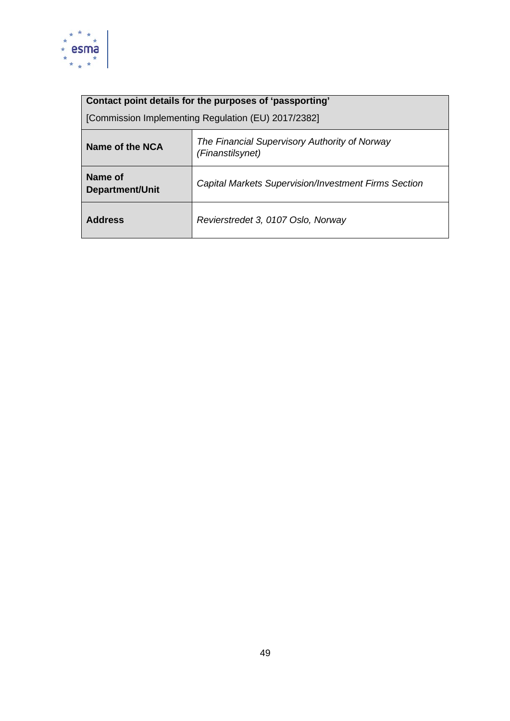

| [Commission Implementing Regulation (EU) 2017/2382] |  |
|-----------------------------------------------------|--|
|-----------------------------------------------------|--|

| Name of the NCA                   | The Financial Supervisory Authority of Norway<br>(Finanstilsynet) |
|-----------------------------------|-------------------------------------------------------------------|
| Name of<br><b>Department/Unit</b> | <b>Capital Markets Supervision/Investment Firms Section</b>       |
| <b>Address</b>                    | Revierstredet 3, 0107 Oslo, Norway                                |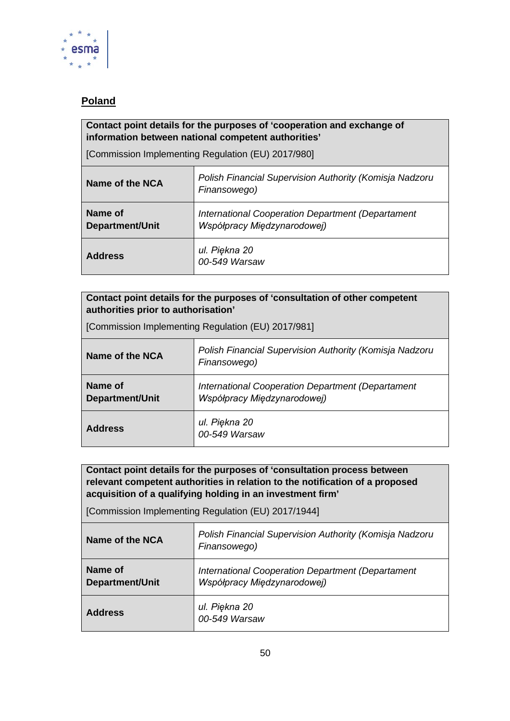

# <span id="page-49-0"></span>**Poland**

#### **Contact point details for the purposes of 'cooperation and exchange of information between national competent authorities'**

[Commission Implementing Regulation (EU) 2017/980]

| Name of the NCA                   | Polish Financial Supervision Authority (Komisja Nadzoru<br>Finansowego)          |
|-----------------------------------|----------------------------------------------------------------------------------|
| Name of<br><b>Department/Unit</b> | International Cooperation Department (Departament<br>Współpracy Międzynarodowej) |
| <b>Address</b>                    | ul. Piękna 20<br>00-549 Warsaw                                                   |

| Contact point details for the purposes of 'consultation of other competent<br>authorities prior to authorisation' |                                                                                  |
|-------------------------------------------------------------------------------------------------------------------|----------------------------------------------------------------------------------|
| [Commission Implementing Regulation (EU) 2017/981]                                                                |                                                                                  |
| Name of the NCA                                                                                                   | Polish Financial Supervision Authority (Komisja Nadzoru<br>Finansowego)          |
| Name of<br><b>Department/Unit</b>                                                                                 | International Cooperation Department (Departament<br>Współpracy Międzynarodowej) |
| <b>Address</b>                                                                                                    | ul. Piękna 20<br>00-549 Warsaw                                                   |

**Contact point details for the purposes of 'consultation process between relevant competent authorities in relation to the notification of a proposed acquisition of a qualifying holding in an investment firm'** 

| Name of the NCA                   | Polish Financial Supervision Authority (Komisja Nadzoru<br>Finansowego)          |
|-----------------------------------|----------------------------------------------------------------------------------|
| Name of<br><b>Department/Unit</b> | International Cooperation Department (Departament<br>Współpracy Międzynarodowej) |
| <b>Address</b>                    | ul. Piękna 20<br>00-549 Warsaw                                                   |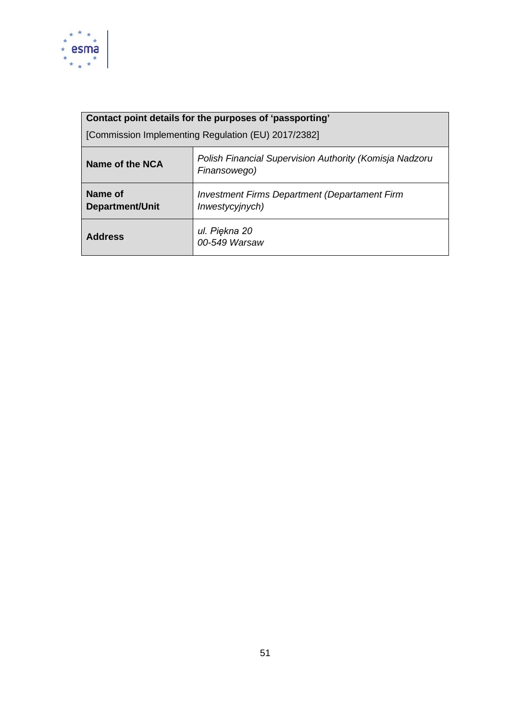

| Contact point details for the purposes of 'passporting' |                                                                         |
|---------------------------------------------------------|-------------------------------------------------------------------------|
| [Commission Implementing Regulation (EU) 2017/2382]     |                                                                         |
| Name of the NCA                                         | Polish Financial Supervision Authority (Komisja Nadzoru<br>Finansowego) |
| Name of<br><b>Department/Unit</b>                       | <b>Investment Firms Department (Departament Firm</b><br>Inwestycyjnych) |
| <b>Address</b>                                          | ul. Piękna 20<br>00-549 Warsaw                                          |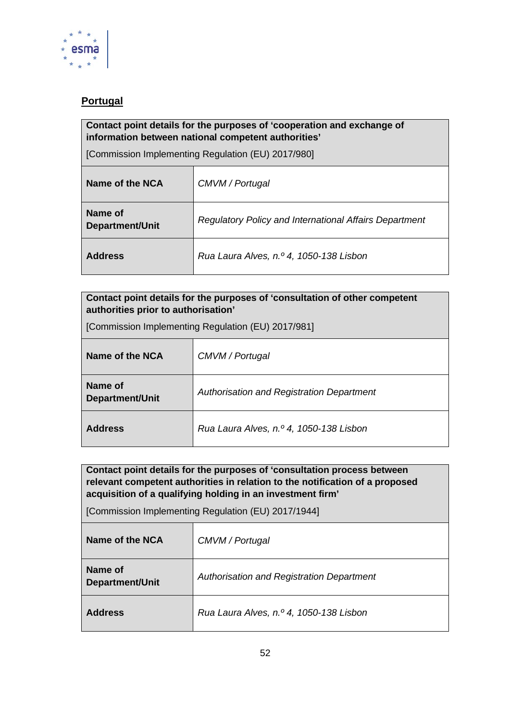

# <span id="page-51-0"></span>**Portugal**

#### **Contact point details for the purposes of 'cooperation and exchange of information between national competent authorities'**

[Commission Implementing Regulation (EU) 2017/980]

| Name of the NCA            | CMVM / Portugal                                               |
|----------------------------|---------------------------------------------------------------|
| Name of<br>Department/Unit | <b>Regulatory Policy and International Affairs Department</b> |
| <b>Address</b>             | Rua Laura Alves, n.º 4, 1050-138 Lisbon                       |

| Contact point details for the purposes of 'consultation of other competent<br>authorities prior to authorisation' |                                           |  |
|-------------------------------------------------------------------------------------------------------------------|-------------------------------------------|--|
| [Commission Implementing Regulation (EU) 2017/981]                                                                |                                           |  |
| Name of the NCA                                                                                                   | CMVM / Portugal                           |  |
| Name of<br>Department/Unit                                                                                        | Authorisation and Registration Department |  |
| <b>Address</b>                                                                                                    | Rua Laura Alves, n.º 4, 1050-138 Lisbon   |  |

**Contact point details for the purposes of 'consultation process between relevant competent authorities in relation to the notification of a proposed acquisition of a qualifying holding in an investment firm'** 

| Name of the NCA                   | CMVM / Portugal                           |
|-----------------------------------|-------------------------------------------|
| Name of<br><b>Department/Unit</b> | Authorisation and Registration Department |
| <b>Address</b>                    | Rua Laura Alves, n.º 4, 1050-138 Lisbon   |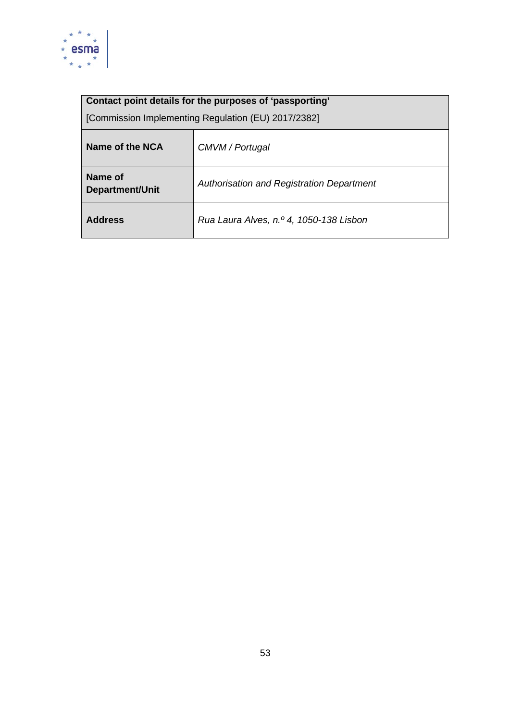

| Name of the NCA                   | CMVM / Portugal                           |
|-----------------------------------|-------------------------------------------|
| Name of<br><b>Department/Unit</b> | Authorisation and Registration Department |
| <b>Address</b>                    | Rua Laura Alves, n.º 4, 1050-138 Lisbon   |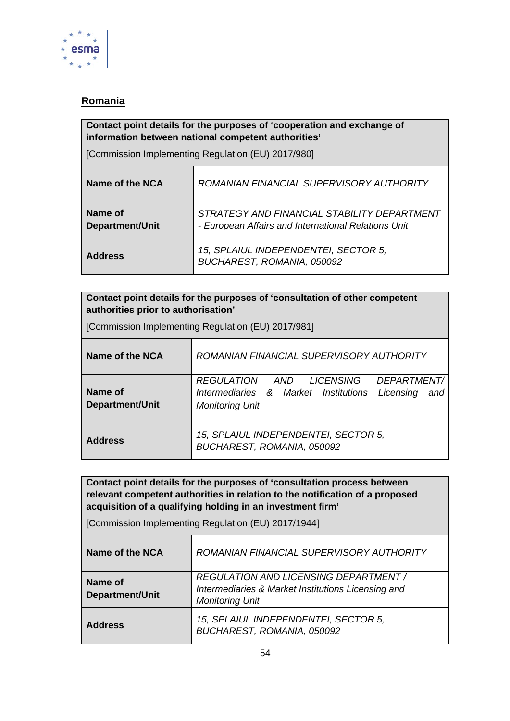

# <span id="page-53-0"></span>**Romania**

#### **Contact point details for the purposes of 'cooperation and exchange of information between national competent authorities'**

[Commission Implementing Regulation (EU) 2017/980]

| Name of the NCA                   | ROMANIAN FINANCIAL SUPERVISORY AUTHORITY                                                           |
|-----------------------------------|----------------------------------------------------------------------------------------------------|
| Name of<br><b>Department/Unit</b> | STRATEGY AND FINANCIAL STABILITY DEPARTMENT<br>- European Affairs and International Relations Unit |
| <b>Address</b>                    | 15, SPLAIUL INDEPENDENTEI, SECTOR 5,<br>BUCHAREST, ROMANIA, 050092                                 |

#### **Contact point details for the purposes of 'consultation of other competent authorities prior to authorisation'**

|  | [Commission Implementing Regulation (EU) 2017/981] |
|--|----------------------------------------------------|
|  |                                                    |

| Name of the NCA                   | ROMANIAN FINANCIAL SUPERVISORY AUTHORITY                                                                                |  |  |
|-----------------------------------|-------------------------------------------------------------------------------------------------------------------------|--|--|
| Name of<br><b>Department/Unit</b> | REGULATION AND LICENSING DEPARTMENT/<br>Intermediaries & Market Institutions Licensing<br>and<br><b>Monitoring Unit</b> |  |  |
| <b>Address</b>                    | 15, SPLAIUL INDEPENDENTEI, SECTOR 5,<br>BUCHAREST, ROMANIA, 050092                                                      |  |  |

**Contact point details for the purposes of 'consultation process between relevant competent authorities in relation to the notification of a proposed acquisition of a qualifying holding in an investment firm'** 

| Name of the NCA            | ROMANIAN FINANCIAL SUPERVISORY AUTHORITY                                                                              |
|----------------------------|-----------------------------------------------------------------------------------------------------------------------|
| Name of<br>Department/Unit | REGULATION AND LICENSING DEPARTMENT /<br>Intermediaries & Market Institutions Licensing and<br><b>Monitoring Unit</b> |
| <b>Address</b>             | 15, SPLAIUL INDEPENDENTEI, SECTOR 5,<br>BUCHAREST, ROMANIA, 050092                                                    |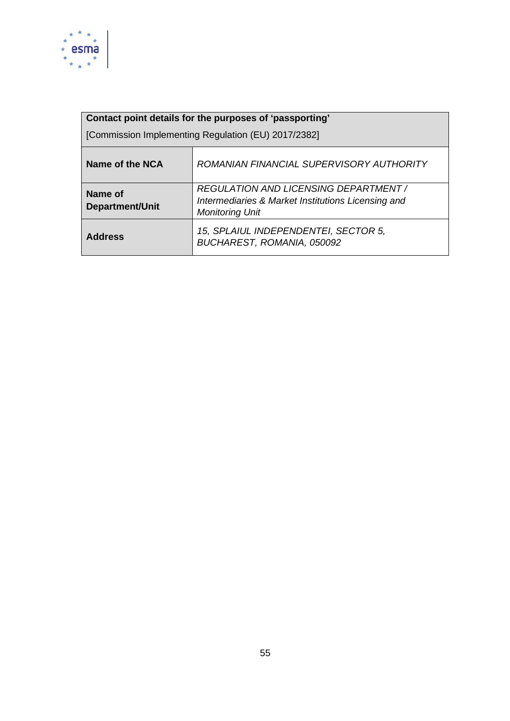

| Contact point details for the purposes of 'passporting' |                                                                                                                       |  |
|---------------------------------------------------------|-----------------------------------------------------------------------------------------------------------------------|--|
| [Commission Implementing Regulation (EU) 2017/2382]     |                                                                                                                       |  |
| Name of the NCA                                         | ROMANIAN FINANCIAL SUPERVISORY AUTHORITY                                                                              |  |
| Name of<br><b>Department/Unit</b>                       | REGULATION AND LICENSING DEPARTMENT /<br>Intermediaries & Market Institutions Licensing and<br><b>Monitoring Unit</b> |  |
| <b>Address</b>                                          | 15, SPLAIUL INDEPENDENTEI, SECTOR 5,<br>BUCHAREST, ROMANIA, 050092                                                    |  |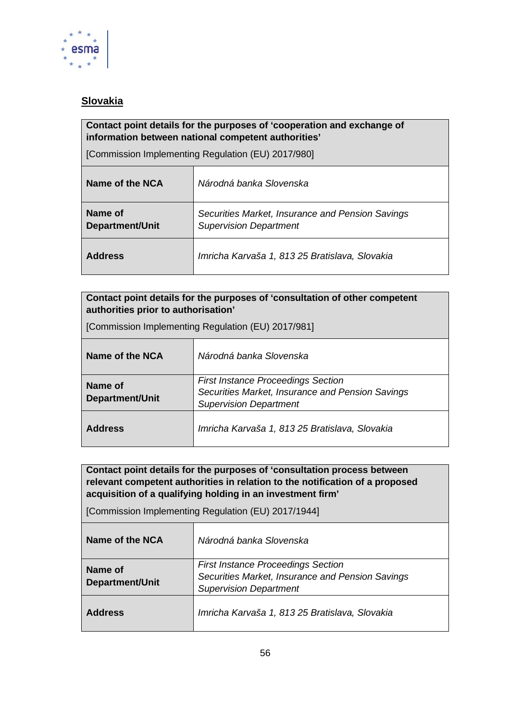

# <span id="page-55-0"></span>**Slovakia**

### **Contact point details for the purposes of 'cooperation and exchange of information between national competent authorities'**

[Commission Implementing Regulation (EU) 2017/980]

| Name of the NCA                   | Národná banka Slovenska                                                           |
|-----------------------------------|-----------------------------------------------------------------------------------|
| Name of<br><b>Department/Unit</b> | Securities Market, Insurance and Pension Savings<br><b>Supervision Department</b> |
| <b>Address</b>                    | Imricha Karvaša 1, 813 25 Bratislava, Slovakia                                    |

| Contact point details for the purposes of 'consultation of other competent |  |
|----------------------------------------------------------------------------|--|
| authorities prior to authorisation'/                                       |  |

|  | [Commission Implementing Regulation (EU) 2017/981] |  |
|--|----------------------------------------------------|--|
|  |                                                    |  |

| Name of the NCA            | Národná banka Slovenska                                                                                                        |
|----------------------------|--------------------------------------------------------------------------------------------------------------------------------|
| Name of<br>Department/Unit | <b>First Instance Proceedings Section</b><br>Securities Market, Insurance and Pension Savings<br><b>Supervision Department</b> |
| <b>Address</b>             | Imricha Karvaša 1, 813 25 Bratislava, Slovakia                                                                                 |

**Contact point details for the purposes of 'consultation process between relevant competent authorities in relation to the notification of a proposed acquisition of a qualifying holding in an investment firm'** 

| Name of the NCA            | Národná banka Slovenska                                                                                                        |
|----------------------------|--------------------------------------------------------------------------------------------------------------------------------|
| Name of<br>Department/Unit | <b>First Instance Proceedings Section</b><br>Securities Market, Insurance and Pension Savings<br><b>Supervision Department</b> |
| <b>Address</b>             | Imricha Karvaša 1, 813 25 Bratislava, Slovakia                                                                                 |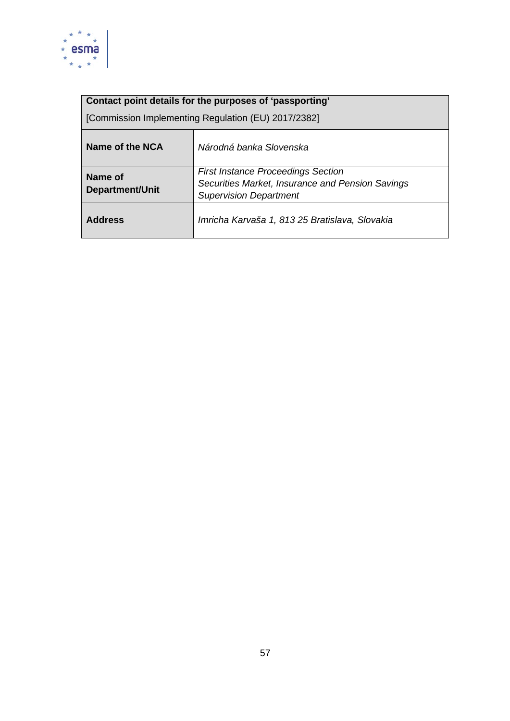

| Name of the NCA                   | Národná banka Slovenska                                                                                                        |
|-----------------------------------|--------------------------------------------------------------------------------------------------------------------------------|
| Name of<br><b>Department/Unit</b> | <b>First Instance Proceedings Section</b><br>Securities Market, Insurance and Pension Savings<br><b>Supervision Department</b> |
| <b>Address</b>                    | Imricha Karvaša 1, 813 25 Bratislava, Slovakia                                                                                 |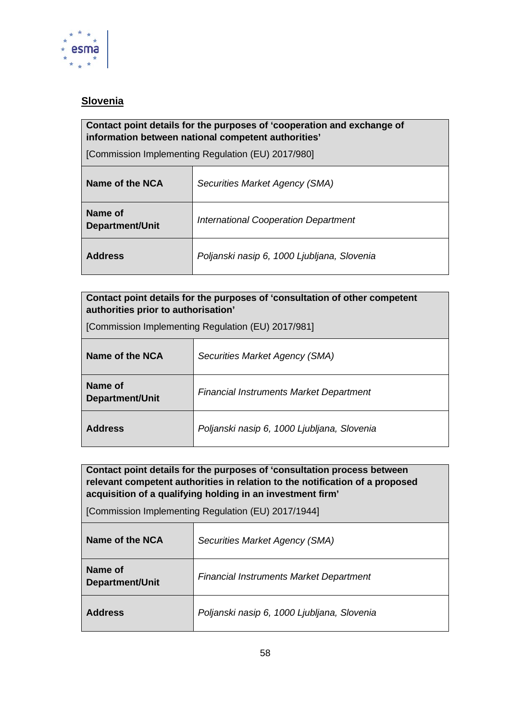

# <span id="page-57-0"></span>**Slovenia**

#### **Contact point details for the purposes of 'cooperation and exchange of information between national competent authorities'**

[Commission Implementing Regulation (EU) 2017/980]

| Name of the NCA            | Securities Market Agency (SMA)              |
|----------------------------|---------------------------------------------|
| Name of<br>Department/Unit | <b>International Cooperation Department</b> |
| <b>Address</b>             | Poljanski nasip 6, 1000 Ljubljana, Slovenia |

#### **Contact point details for the purposes of 'consultation of other competent authorities prior to authorisation'**

| [Commission Implementing Regulation (EU) 2017/981] |  |  |
|----------------------------------------------------|--|--|
|                                                    |  |  |

| Name of the NCA                   | Securities Market Agency (SMA)                 |
|-----------------------------------|------------------------------------------------|
| Name of<br><b>Department/Unit</b> | <b>Financial Instruments Market Department</b> |
| <b>Address</b>                    | Poljanski nasip 6, 1000 Ljubljana, Slovenia    |

**Contact point details for the purposes of 'consultation process between relevant competent authorities in relation to the notification of a proposed acquisition of a qualifying holding in an investment firm'** 

| Name of the NCA                   | Securities Market Agency (SMA)                 |
|-----------------------------------|------------------------------------------------|
| Name of<br><b>Department/Unit</b> | <b>Financial Instruments Market Department</b> |
| <b>Address</b>                    | Poljanski nasip 6, 1000 Ljubljana, Slovenia    |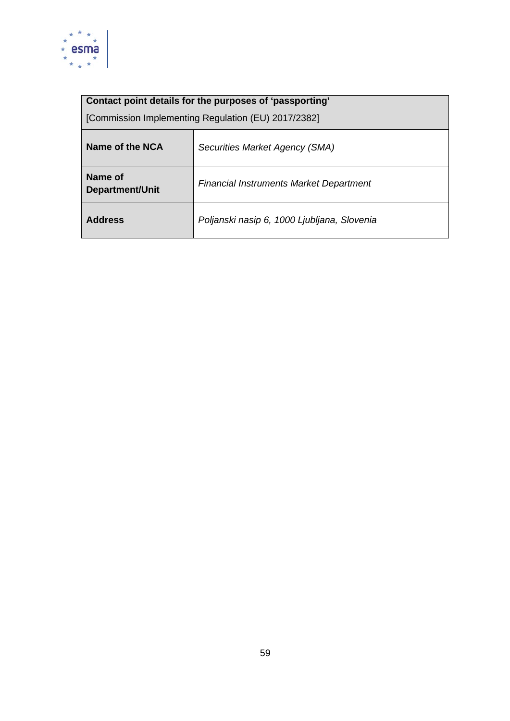

| Name of the NCA                   | Securities Market Agency (SMA)                 |
|-----------------------------------|------------------------------------------------|
| Name of<br><b>Department/Unit</b> | <b>Financial Instruments Market Department</b> |
| <b>Address</b>                    | Poljanski nasip 6, 1000 Ljubljana, Slovenia    |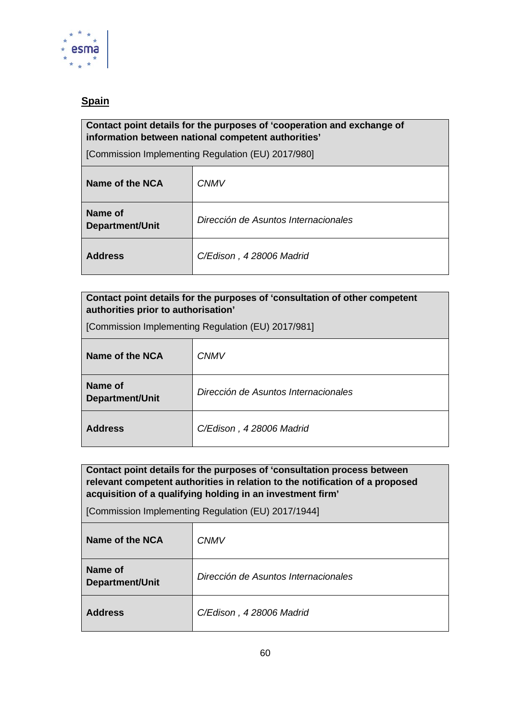

# <span id="page-59-0"></span>**Spain**

### **Contact point details for the purposes of 'cooperation and exchange of information between national competent authorities'**

[Commission Implementing Regulation (EU) 2017/980]

| Name of the NCA                   | <b>CNMV</b>                          |
|-----------------------------------|--------------------------------------|
| Name of<br><b>Department/Unit</b> | Dirección de Asuntos Internacionales |
| <b>Address</b>                    | C/Edison, 4 28006 Madrid             |

| Contact point details for the purposes of 'consultation of other competent<br>authorities prior to authorisation' |
|-------------------------------------------------------------------------------------------------------------------|
| [Commission Implementing Regulation (EU) 2017/981]                                                                |

| Name of the NCA                   | <b>CNMV</b>                          |
|-----------------------------------|--------------------------------------|
| Name of<br><b>Department/Unit</b> | Dirección de Asuntos Internacionales |
| <b>Address</b>                    | C/Edison, 4 28006 Madrid             |

**Contact point details for the purposes of 'consultation process between relevant competent authorities in relation to the notification of a proposed acquisition of a qualifying holding in an investment firm'** 

| Name of the NCA            | <b>CNMV</b>                          |
|----------------------------|--------------------------------------|
| Name of<br>Department/Unit | Dirección de Asuntos Internacionales |
| <b>Address</b>             | C/Edison, 4 28006 Madrid             |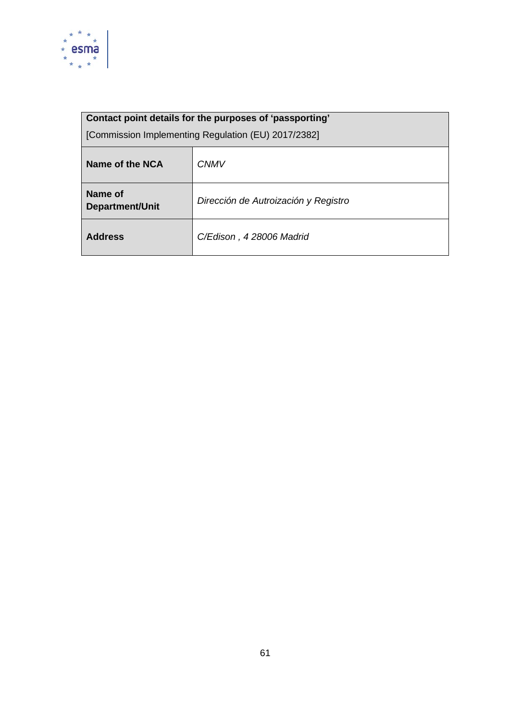

| Contact point details for the purposes of 'passporting' |                                      |
|---------------------------------------------------------|--------------------------------------|
| [Commission Implementing Regulation (EU) 2017/2382]     |                                      |
| Name of the NCA                                         | <b>CNMV</b>                          |
| Name of<br><b>Department/Unit</b>                       | Dirección de Autroización y Registro |
| <b>Address</b>                                          | C/Edison, 4 28006 Madrid             |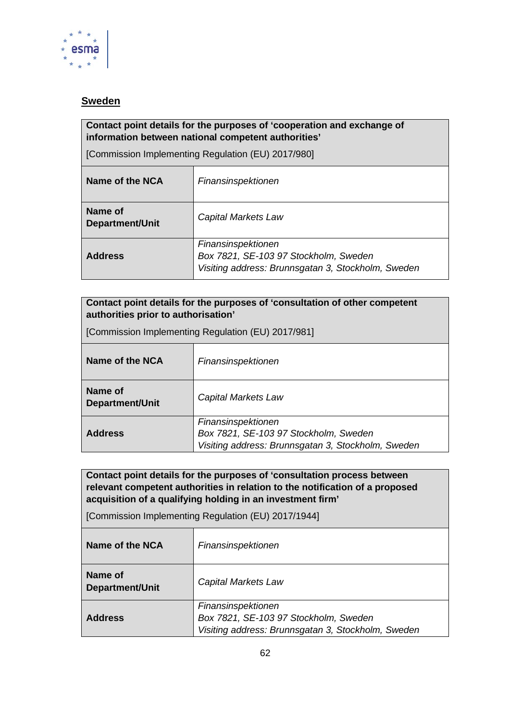

### <span id="page-61-0"></span>**Sweden**

#### **Contact point details for the purposes of 'cooperation and exchange of information between national competent authorities'**

[Commission Implementing Regulation (EU) 2017/980]

| Name of the NCA                   | Finansinspektionen                                                                                                |
|-----------------------------------|-------------------------------------------------------------------------------------------------------------------|
| Name of<br><b>Department/Unit</b> | Capital Markets Law                                                                                               |
| <b>Address</b>                    | Finansinspektionen<br>Box 7821, SE-103 97 Stockholm, Sweden<br>Visiting address: Brunnsgatan 3, Stockholm, Sweden |

### **Contact point details for the purposes of 'consultation of other competent authorities prior to authorisation'**

| [Commission Implementing Regulation (EU) 2017/981] |                                                                                                                   |  |
|----------------------------------------------------|-------------------------------------------------------------------------------------------------------------------|--|
| Name of the NCA                                    | Finansinspektionen                                                                                                |  |
| Name of<br><b>Department/Unit</b>                  | Capital Markets Law                                                                                               |  |
| <b>Address</b>                                     | Finansinspektionen<br>Box 7821, SE-103 97 Stockholm, Sweden<br>Visiting address: Brunnsgatan 3, Stockholm, Sweden |  |

**Contact point details for the purposes of 'consultation process between relevant competent authorities in relation to the notification of a proposed acquisition of a qualifying holding in an investment firm'** 

| Name of the NCA            | Finansinspektionen                                                                                                |
|----------------------------|-------------------------------------------------------------------------------------------------------------------|
| Name of<br>Department/Unit | Capital Markets Law                                                                                               |
| <b>Address</b>             | Finansinspektionen<br>Box 7821, SE-103 97 Stockholm, Sweden<br>Visiting address: Brunnsgatan 3, Stockholm, Sweden |